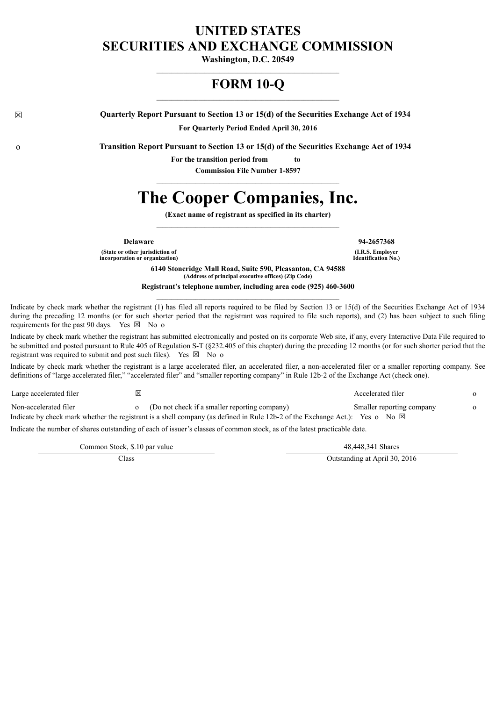## **UNITED STATES SECURITIES AND EXCHANGE COMMISSION**

**Washington, D.C. 20549 \_\_\_\_\_\_\_\_\_\_\_\_\_\_\_\_\_\_\_\_\_\_\_\_\_\_\_\_\_\_\_\_\_\_\_\_\_\_\_\_\_\_\_\_\_\_\_\_\_\_\_\_\_\_\_\_\_\_\_\_\_**

## **FORM 10-Q**  $\mathcal{L}_\mathcal{L} = \{ \mathcal{L}_\mathcal{L} = \{ \mathcal{L}_\mathcal{L} \}$

☒ **Quarterly Report Pursuant to Section 13 or 15(d) of the Securities Exchange Act of 1934 For Quarterly Period Ended April 30, 2016**

o **Transition Report Pursuant to Section 13 or 15(d) of the Securities Exchange Act of 1934**

**For the transition period from to**

**Commission File Number 1-8597 \_\_\_\_\_\_\_\_\_\_\_\_\_\_\_\_\_\_\_\_\_\_\_\_\_\_\_\_\_\_\_\_\_\_\_\_\_\_\_\_\_\_\_\_\_\_\_\_\_\_\_\_\_\_\_\_\_\_\_\_\_**

# **The Cooper Companies, Inc.**

**(Exact name of registrant as specified in its charter)**  $\mathcal{L}_\mathcal{L} = \{ \mathcal{L}_\mathcal{L} = \{ \mathcal{L}_\mathcal{L} \}$ 

**(State or other jurisdiction of incorporation or organization)**

**Delaware 94-2657368 (I.R.S. Employer Identification No.)**

**6140 Stoneridge Mall Road, Suite 590, Pleasanton, CA 94588 (Address of principal executive offices) (Zip Code) Registrant's telephone number, including area code (925) 460-3600 \_\_\_\_\_\_\_\_\_\_\_\_\_\_\_\_\_\_\_\_\_\_\_\_\_\_\_\_\_\_\_\_\_\_\_\_\_\_\_\_\_\_\_\_\_\_\_\_\_\_\_\_\_\_\_\_\_\_\_\_\_**

Indicate by check mark whether the registrant (1) has filed all reports required to be filed by Section 13 or 15(d) of the Securities Exchange Act of 1934 during the preceding 12 months (or for such shorter period that the registrant was required to file such reports), and (2) has been subject to such filing requirements for the past 90 days. Yes  $\boxtimes$  No o

Indicate by check mark whether the registrant has submitted electronically and posted on its corporate Web site, if any, every Interactive Data File required to be submitted and posted pursuant to Rule 405 of Regulation S-T (§232.405 of this chapter) during the preceding 12 months (or for such shorter period that the registrant was required to submit and post such files). Yes  $\boxtimes$  No o

Indicate by check mark whether the registrant is a large accelerated filer, an accelerated filer, a non-accelerated filer or a smaller reporting company. See definitions of "large accelerated filer," "accelerated filer" and "smaller reporting company" in Rule 12b-2 of the Exchange Act (check one).

Large accelerated filer  $\boxtimes$   $\boxtimes$ Non-accelerated filer o (Do not check if a smaller reporting company) Smaller reporting company o o Indicate by check mark whether the registrant is a shell company (as defined in Rule 12b-2 of the Exchange Act.): Yes o No  $\boxtimes$ Indicate the number of shares outstanding of each of issuer's classes of common stock, as of the latest practicable date.

Common Stock, \$.10 par value 48,448,341 Shares

Class Outstanding at April 30, 2016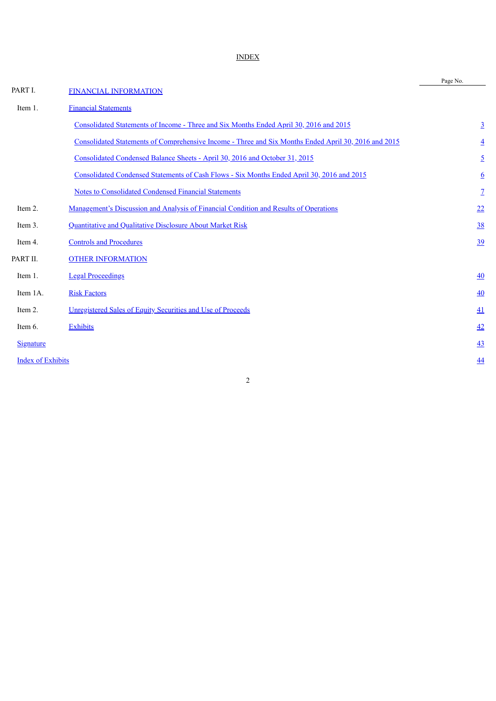## INDEX

<span id="page-1-0"></span>

|                          |                                                                                                      | Page No.         |
|--------------------------|------------------------------------------------------------------------------------------------------|------------------|
| PART I.                  | <b>FINANCIAL INFORMATION</b>                                                                         |                  |
| Item 1.                  | <b>Financial Statements</b>                                                                          |                  |
|                          | <u>Consolidated Statements of Income - Three and Six Months Ended April 30, 2016 and 2015</u>        | $\overline{3}$   |
|                          | Consolidated Statements of Comprehensive Income - Three and Six Months Ended April 30, 2016 and 2015 | $\overline{4}$   |
|                          | Consolidated Condensed Balance Sheets - April 30, 2016 and October 31, 2015                          | $\overline{2}$   |
|                          | Consolidated Condensed Statements of Cash Flows - Six Months Ended April 30, 2016 and 2015           | $6\overline{6}$  |
|                          | <b>Notes to Consolidated Condensed Financial Statements</b>                                          | $\overline{1}$   |
| Item 2.                  | Management's Discussion and Analysis of Financial Condition and Results of Operations                | 22               |
| Item 3.                  | Quantitative and Qualitative Disclosure About Market Risk                                            | 38               |
| Item 4.                  | <b>Controls and Procedures</b>                                                                       | 39               |
| PART II.                 | <b>OTHER INFORMATION</b>                                                                             |                  |
| Item 1.                  | <b>Legal Proceedings</b>                                                                             | $\underline{40}$ |
| Item 1A.                 | <b>Risk Factors</b>                                                                                  | 40               |
| Item 2.                  | Unregistered Sales of Equity Securities and Use of Proceeds                                          | 41               |
| Item 6.                  | <b>Exhibits</b>                                                                                      | 42               |
| <b>Signature</b>         |                                                                                                      | 43               |
| <b>Index of Exhibits</b> |                                                                                                      | $\overline{44}$  |
|                          |                                                                                                      |                  |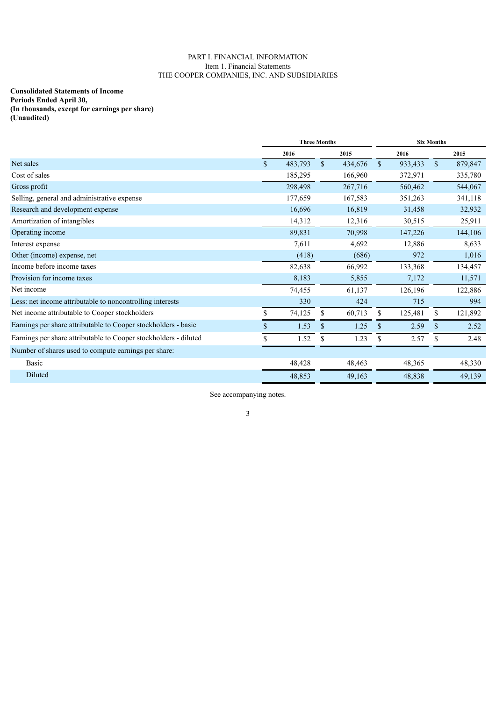### PART I. FINANCIAL INFORMATION Item 1. Financial Statements THE COOPER COMPANIES, INC. AND SUBSIDIARIES

#### <span id="page-2-2"></span><span id="page-2-1"></span><span id="page-2-0"></span>**Consolidated Statements of Income Periods Ended April 30, (In thousands, except for earnings per share) (Unaudited)**

|                                                                  | <b>Three Months</b> |    |         |                    | <b>Six Months</b> |               |         |
|------------------------------------------------------------------|---------------------|----|---------|--------------------|-------------------|---------------|---------|
|                                                                  | 2016                |    | 2015    |                    | 2016              |               | 2015    |
| Net sales                                                        | \$<br>483,793       | \$ | 434,676 | $\mathbf{\hat{S}}$ | 933,433           | $\mathsf{\$}$ | 879,847 |
| Cost of sales                                                    | 185,295             |    | 166,960 |                    | 372,971           |               | 335,780 |
| Gross profit                                                     | 298,498             |    | 267,716 |                    | 560,462           |               | 544,067 |
| Selling, general and administrative expense                      | 177,659             |    | 167,583 |                    | 351,263           |               | 341,118 |
| Research and development expense                                 | 16,696              |    | 16,819  |                    | 31,458            |               | 32,932  |
| Amortization of intangibles                                      | 14,312              |    | 12,316  |                    | 30,515            |               | 25,911  |
| Operating income                                                 | 89,831              |    | 70,998  |                    | 147,226           |               | 144,106 |
| Interest expense                                                 | 7,611               |    | 4,692   |                    | 12,886            |               | 8,633   |
| Other (income) expense, net                                      | (418)               |    | (686)   |                    | 972               |               | 1,016   |
| Income before income taxes                                       | 82,638              |    | 66,992  |                    | 133,368           |               | 134,457 |
| Provision for income taxes                                       | 8,183               |    | 5,855   |                    | 7,172             |               | 11,571  |
| Net income                                                       | 74,455              |    | 61,137  |                    | 126,196           |               | 122,886 |
| Less: net income attributable to noncontrolling interests        | 330                 |    | 424     |                    | 715               |               | 994     |
| Net income attributable to Cooper stockholders                   | \$<br>74,125        |    | 60,713  |                    | 125,481           |               | 121,892 |
| Earnings per share attributable to Cooper stockholders - basic   | 1.53                |    | 1.25    |                    | 2.59              |               | 2.52    |
| Earnings per share attributable to Cooper stockholders - diluted | 1.52                |    | 1.23    |                    | 2.57              |               | 2.48    |
| Number of shares used to compute earnings per share:             |                     |    |         |                    |                   |               |         |
| Basic                                                            | 48,428              |    | 48,463  |                    | 48,365            |               | 48,330  |
| Diluted                                                          | 48,853              |    | 49,163  |                    | 48,838            |               | 49,139  |
|                                                                  |                     |    |         |                    |                   |               |         |

See accompanying notes.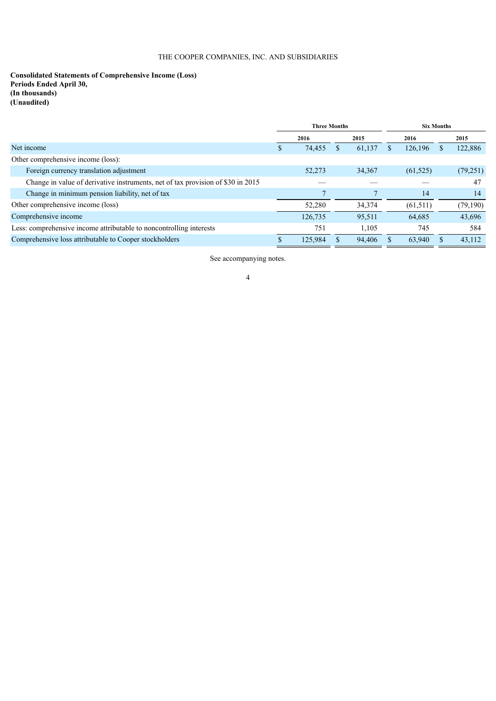<span id="page-3-0"></span>**Consolidated Statements of Comprehensive Income (Loss) Periods Ended April 30, (In thousands) (Unaudited)**

|                                                                                 | <b>Three Months</b> |         |  |        | <b>Six Months</b> |           |     |           |
|---------------------------------------------------------------------------------|---------------------|---------|--|--------|-------------------|-----------|-----|-----------|
|                                                                                 |                     | 2016    |  | 2015   |                   | 2016      |     | 2015      |
| Net income                                                                      |                     | 74,455  |  | 61,137 |                   | 126,196   | \$. | 122,886   |
| Other comprehensive income (loss):                                              |                     |         |  |        |                   |           |     |           |
| Foreign currency translation adjustment                                         |                     | 52,273  |  | 34,367 |                   | (61, 525) |     | (79,251)  |
| Change in value of derivative instruments, net of tax provision of \$30 in 2015 |                     |         |  |        |                   |           |     | 47        |
| Change in minimum pension liability, net of tax                                 |                     |         |  |        |                   | 14        |     | 14        |
| Other comprehensive income (loss)                                               |                     | 52,280  |  | 34.374 |                   | (61,511)  |     | (79, 190) |
| Comprehensive income                                                            |                     | 126,735 |  | 95,511 |                   | 64,685    |     | 43,696    |
| Less: comprehensive income attributable to noncontrolling interests             |                     | 751     |  | 1,105  |                   | 745       |     | 584       |
| Comprehensive loss attributable to Cooper stockholders                          |                     | 125,984 |  | 94,406 |                   | 63,940    |     | 43,112    |

See accompanying notes.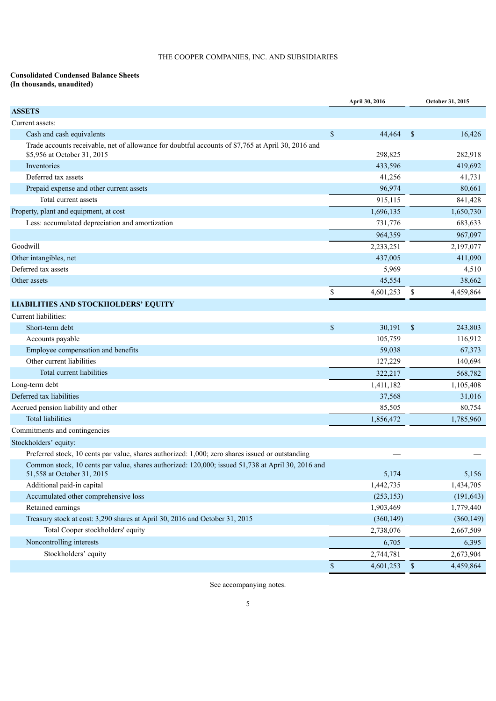## <span id="page-4-0"></span>**Consolidated Condensed Balance Sheets**

| (In thousands, unaudited) |  |
|---------------------------|--|
|---------------------------|--|

|                                                                                                                                 |      | April 30, 2016 | October 31, 2015 |
|---------------------------------------------------------------------------------------------------------------------------------|------|----------------|------------------|
| <b>ASSETS</b>                                                                                                                   |      |                |                  |
| Current assets:                                                                                                                 |      |                |                  |
| Cash and cash equivalents                                                                                                       | \$   | 44,464         | \$<br>16,426     |
| Trade accounts receivable, net of allowance for doubtful accounts of \$7,765 at April 30, 2016 and                              |      |                |                  |
| \$5,956 at October 31, 2015                                                                                                     |      | 298,825        | 282,918          |
| Inventories                                                                                                                     |      | 433,596        | 419,692          |
| Deferred tax assets                                                                                                             |      | 41,256         | 41,731           |
| Prepaid expense and other current assets                                                                                        |      | 96,974         | 80,661           |
| Total current assets                                                                                                            |      | 915,115        | 841,428          |
| Property, plant and equipment, at cost                                                                                          |      | 1,696,135      | 1,650,730        |
| Less: accumulated depreciation and amortization                                                                                 |      | 731,776        | 683,633          |
|                                                                                                                                 |      | 964,359        | 967,097          |
| Goodwill                                                                                                                        |      | 2,233,251      | 2,197,077        |
| Other intangibles, net                                                                                                          |      | 437,005        | 411,090          |
| Deferred tax assets                                                                                                             |      | 5,969          | 4,510            |
| Other assets                                                                                                                    |      | 45,554         | 38,662           |
|                                                                                                                                 | \$   | 4,601,253      | \$<br>4,459,864  |
| <b>LIABILITIES AND STOCKHOLDERS' EQUITY</b>                                                                                     |      |                |                  |
| Current liabilities:                                                                                                            |      |                |                  |
| Short-term debt                                                                                                                 | \$   | 30,191         | \$<br>243,803    |
| Accounts payable                                                                                                                |      | 105,759        | 116,912          |
| Employee compensation and benefits                                                                                              |      | 59,038         | 67,373           |
| Other current liabilities                                                                                                       |      | 127,229        | 140,694          |
| Total current liabilities                                                                                                       |      | 322,217        | 568,782          |
| Long-term debt                                                                                                                  |      | 1,411,182      | 1,105,408        |
| Deferred tax liabilities                                                                                                        |      | 37,568         | 31,016           |
| Accrued pension liability and other                                                                                             |      | 85,505         | 80,754           |
| <b>Total liabilities</b>                                                                                                        |      | 1,856,472      | 1,785,960        |
| Commitments and contingencies                                                                                                   |      |                |                  |
| Stockholders' equity:                                                                                                           |      |                |                  |
| Preferred stock, 10 cents par value, shares authorized: 1,000; zero shares issued or outstanding                                |      |                |                  |
| Common stock, 10 cents par value, shares authorized: 120,000; issued 51,738 at April 30, 2016 and<br>51,558 at October 31, 2015 |      | 5,174          | 5,156            |
| Additional paid-in capital                                                                                                      |      | 1,442,735      | 1,434,705        |
| Accumulated other comprehensive loss                                                                                            |      | (253, 153)     | (191, 643)       |
| Retained earnings                                                                                                               |      | 1,903,469      | 1,779,440        |
| Treasury stock at cost: 3,290 shares at April 30, 2016 and October 31, 2015                                                     |      | (360, 149)     | (360, 149)       |
| Total Cooper stockholders' equity                                                                                               |      | 2,738,076      | 2,667,509        |
| Noncontrolling interests                                                                                                        |      | 6,705          | 6,395            |
| Stockholders' equity                                                                                                            |      | 2,744,781      | 2,673,904        |
|                                                                                                                                 | $\$$ | 4,601,253      | \$<br>4,459,864  |
|                                                                                                                                 |      |                |                  |

See accompanying notes.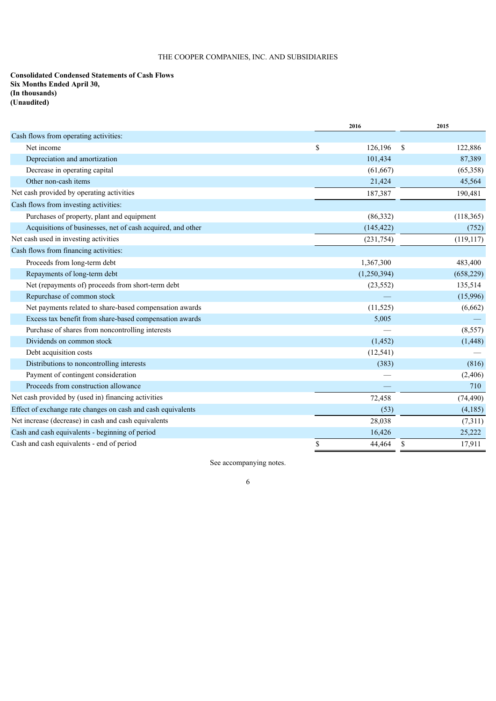#### <span id="page-5-0"></span>**Consolidated Condensed Statements of Cash Flows Six Months Ended April 30, (In thousands) (Unaudited)**

|                                                              | 2016 |             |               | 2015       |
|--------------------------------------------------------------|------|-------------|---------------|------------|
| Cash flows from operating activities:                        |      |             |               |            |
| Net income                                                   | \$   | 126,196     | <sup>\$</sup> | 122,886    |
| Depreciation and amortization                                |      | 101,434     |               | 87,389     |
| Decrease in operating capital                                |      | (61, 667)   |               | (65,358)   |
| Other non-cash items                                         |      | 21,424      |               | 45,564     |
| Net cash provided by operating activities                    |      | 187,387     |               | 190,481    |
| Cash flows from investing activities:                        |      |             |               |            |
| Purchases of property, plant and equipment                   |      | (86,332)    |               | (118, 365) |
| Acquisitions of businesses, net of cash acquired, and other  |      | (145, 422)  |               | (752)      |
| Net cash used in investing activities                        |      | (231, 754)  |               | (119, 117) |
| Cash flows from financing activities:                        |      |             |               |            |
| Proceeds from long-term debt                                 |      | 1,367,300   |               | 483,400    |
| Repayments of long-term debt                                 |      | (1,250,394) |               | (658, 229) |
| Net (repayments of) proceeds from short-term debt            |      | (23, 552)   |               | 135,514    |
| Repurchase of common stock                                   |      |             |               | (15,996)   |
| Net payments related to share-based compensation awards      |      | (11, 525)   |               | (6,662)    |
| Excess tax benefit from share-based compensation awards      |      | 5,005       |               |            |
| Purchase of shares from noncontrolling interests             |      |             |               | (8, 557)   |
| Dividends on common stock                                    |      | (1, 452)    |               | (1, 448)   |
| Debt acquisition costs                                       |      | (12, 541)   |               |            |
| Distributions to noncontrolling interests                    |      | (383)       |               | (816)      |
| Payment of contingent consideration                          |      |             |               | (2, 406)   |
| Proceeds from construction allowance                         |      |             |               | 710        |
| Net cash provided by (used in) financing activities          |      | 72,458      |               | (74, 490)  |
| Effect of exchange rate changes on cash and cash equivalents |      | (53)        |               | (4,185)    |
| Net increase (decrease) in cash and cash equivalents         |      | 28,038      |               | (7,311)    |
| Cash and cash equivalents - beginning of period              |      | 16,426      |               | 25,222     |
| Cash and cash equivalents - end of period                    | \$   | 44,464      | \$            | 17,911     |

See accompanying notes.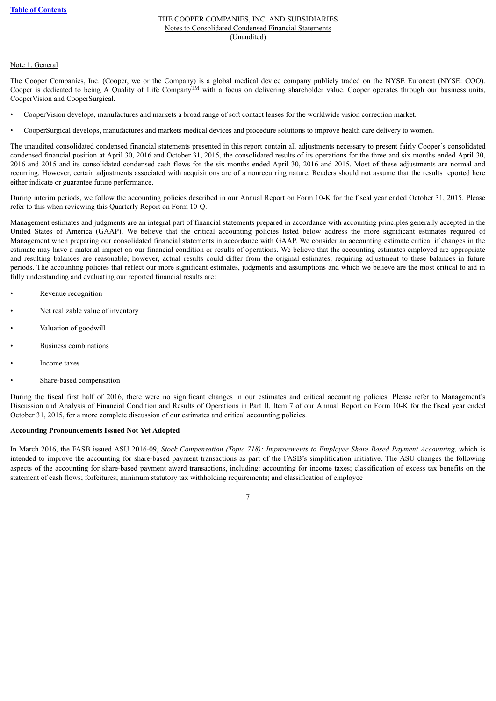#### <span id="page-6-0"></span>Note 1. General

The Cooper Companies, Inc. (Cooper, we or the Company) is a global medical device company publicly traded on the NYSE Euronext (NYSE: COO). Cooper is dedicated to being A Quality of Life Company™ with a focus on delivering shareholder value. Cooper operates through our business units, CooperVision and CooperSurgical.

- CooperVision develops, manufactures and markets a broad range of soft contact lenses for the worldwide vision correction market.
- CooperSurgical develops, manufactures and markets medical devices and procedure solutions to improve health care delivery to women.

The unaudited consolidated condensed financial statements presented in this report contain all adjustments necessary to present fairly Cooper's consolidated condensed financial position at April 30, 2016 and October 31, 2015, the consolidated results of its operations for the three and six months ended April 30, 2016 and 2015 and its consolidated condensed cash flows for the six months ended April 30, 2016 and 2015. Most of these adjustments are normal and recurring. However, certain adjustments associated with acquisitions are of a nonrecurring nature. Readers should not assume that the results reported here either indicate or guarantee future performance.

During interim periods, we follow the accounting policies described in our Annual Report on Form 10-K for the fiscal year ended October 31, 2015. Please refer to this when reviewing this Quarterly Report on Form 10-Q.

Management estimates and judgments are an integral part of financial statements prepared in accordance with accounting principles generally accepted in the United States of America (GAAP). We believe that the critical accounting policies listed below address the more significant estimates required of Management when preparing our consolidated financial statements in accordance with GAAP. We consider an accounting estimate critical if changes in the estimate may have a material impact on our financial condition or results of operations. We believe that the accounting estimates employed are appropriate and resulting balances are reasonable; however, actual results could differ from the original estimates, requiring adjustment to these balances in future periods. The accounting policies that reflect our more significant estimates, judgments and assumptions and which we believe are the most critical to aid in fully understanding and evaluating our reported financial results are:

- Revenue recognition
- Net realizable value of inventory
- Valuation of goodwill
- Business combinations
- Income taxes
- Share-based compensation

During the fiscal first half of 2016, there were no significant changes in our estimates and critical accounting policies. Please refer to Management's Discussion and Analysis of Financial Condition and Results of Operations in Part II, Item 7 of our Annual Report on Form 10-K for the fiscal year ended October 31, 2015, for a more complete discussion of our estimates and critical accounting policies.

#### **Accounting Pronouncements Issued Not Yet Adopted**

In March 2016, the FASB issued ASU 2016-09, *Stock Compensation (Topic 718): Improvements to Employee Share-Based Payment Accounting,* which is intended to improve the accounting for share-based payment transactions as part of the FASB's simplification initiative. The ASU changes the following aspects of the accounting for share-based payment award transactions, including: accounting for income taxes; classification of excess tax benefits on the statement of cash flows; forfeitures; minimum statutory tax withholding requirements; and classification of employee

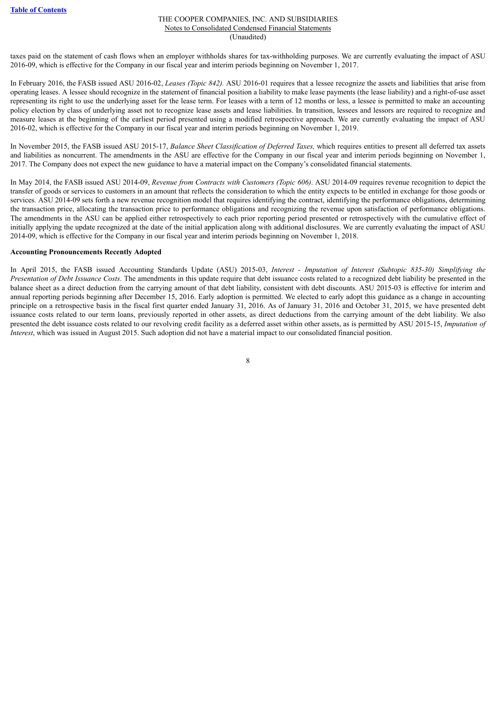taxes paid on the statement of cash flows when an employer withholds shares for tax-withholding purposes. We are currently evaluating the impact of ASU 2016-09, which is effective for the Company in our fiscal year and interim periods beginning on November 1, 2017.

In February 2016, the FASB issued ASU 2016-02, *Leases (Topic 842).* ASU 2016-01 requires that a lessee recognize the assets and liabilities that arise from operating leases. A lessee should recognize in the statement of financial position a liability to make lease payments (the lease liability) and a right-of-use asset representing its right to use the underlying asset for the lease term. For leases with a term of 12 months or less, a lessee is permitted to make an accounting policy election by class of underlying asset not to recognize lease assets and lease liabilities. In transition, lessees and lessors are required to recognize and measure leases at the beginning of the earliest period presented using a modified retrospective approach. We are currently evaluating the impact of ASU 2016-02, which is effective for the Company in our fiscal year and interim periods beginning on November 1, 2019.

In November 2015, the FASB issued ASU 2015-17, *Balance Sheet Classification of Deferred Taxes,* which requires entities to present all deferred tax assets and liabilities as noncurrent. The amendments in the ASU are effective for the Company in our fiscal year and interim periods beginning on November 1, 2017. The Company does not expect the new guidance to have a material impact on the Company's consolidated financial statements.

In May 2014, the FASB issued ASU 2014-09, *Revenue from Contracts with Customers (Topic 606)*. ASU 2014-09 requires revenue recognition to depict the transfer of goods or services to customers in an amount that reflects the consideration to which the entity expects to be entitled in exchange for those goods or services. ASU 2014-09 sets forth a new revenue recognition model that requires identifying the contract, identifying the performance obligations, determining the transaction price, allocating the transaction price to performance obligations and recognizing the revenue upon satisfaction of performance obligations. The amendments in the ASU can be applied either retrospectively to each prior reporting period presented or retrospectively with the cumulative effect of initially applying the update recognized at the date of the initial application along with additional disclosures. We are currently evaluating the impact of ASU 2014-09, which is effective for the Company in our fiscal year and interim periods beginning on November 1, 2018.

#### **Accounting Pronouncements Recently Adopted**

In April 2015, the FASB issued Accounting Standards Update (ASU) 2015-03, *Interest - Imputation of Interest (Subtopic 835-30) Simplifying the Presentation of Debt Issuance Costs.* The amendments in this update require that debt issuance costs related to a recognized debt liability be presented in the balance sheet as a direct deduction from the carrying amount of that debt liability, consistent with debt discounts. ASU 2015-03 is effective for interim and annual reporting periods beginning after December 15, 2016. Early adoption is permitted. We elected to early adopt this guidance as a change in accounting principle on a retrospective basis in the fiscal first quarter ended January 31, 2016. As of January 31, 2016 and October 31, 2015, we have presented debt issuance costs related to our term loans, previously reported in other assets, as direct deductions from the carrying amount of the debt liability. We also presented the debt issuance costs related to our revolving credit facility as a deferred asset within other assets, as is permitted by ASU 2015-15, *Imputation of Interest*, which was issued in August 2015. Such adoption did not have a material impact to our consolidated financial position.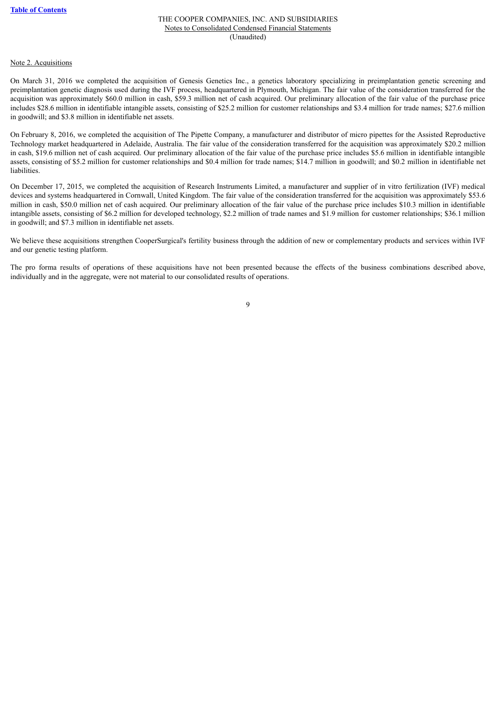#### Note 2. Acquisitions

On March 31, 2016 we completed the acquisition of Genesis Genetics Inc., a genetics laboratory specializing in preimplantation genetic screening and preimplantation genetic diagnosis used during the IVF process, headquartered in Plymouth, Michigan. The fair value of the consideration transferred for the acquisition was approximately \$60.0 million in cash, \$59.3 million net of cash acquired. Our preliminary allocation of the fair value of the purchase price includes \$28.6 million in identifiable intangible assets, consisting of \$25.2 million for customer relationships and \$3.4 million for trade names; \$27.6 million in goodwill; and \$3.8 million in identifiable net assets.

On February 8, 2016, we completed the acquisition of The Pipette Company, a manufacturer and distributor of micro pipettes for the Assisted Reproductive Technology market headquartered in Adelaide, Australia. The fair value of the consideration transferred for the acquisition was approximately \$20.2 million in cash, \$19.6 million net of cash acquired. Our preliminary allocation of the fair value of the purchase price includes \$5.6 million in identifiable intangible assets, consisting of \$5.2 million for customer relationships and \$0.4 million for trade names; \$14.7 million in goodwill; and \$0.2 million in identifiable net liabilities.

On December 17, 2015, we completed the acquisition of Research Instruments Limited, a manufacturer and supplier of in vitro fertilization (IVF) medical devices and systems headquartered in Cornwall, United Kingdom. The fair value of the consideration transferred for the acquisition was approximately \$53.6 million in cash, \$50.0 million net of cash acquired. Our preliminary allocation of the fair value of the purchase price includes \$10.3 million in identifiable intangible assets, consisting of \$6.2 million for developed technology, \$2.2 million of trade names and \$1.9 million for customer relationships; \$36.1 million in goodwill; and \$7.3 million in identifiable net assets.

We believe these acquisitions strengthen CooperSurgical's fertility business through the addition of new or complementary products and services within IVF and our genetic testing platform.

The pro forma results of operations of these acquisitions have not been presented because the effects of the business combinations described above, individually and in the aggregate, were not material to our consolidated results of operations.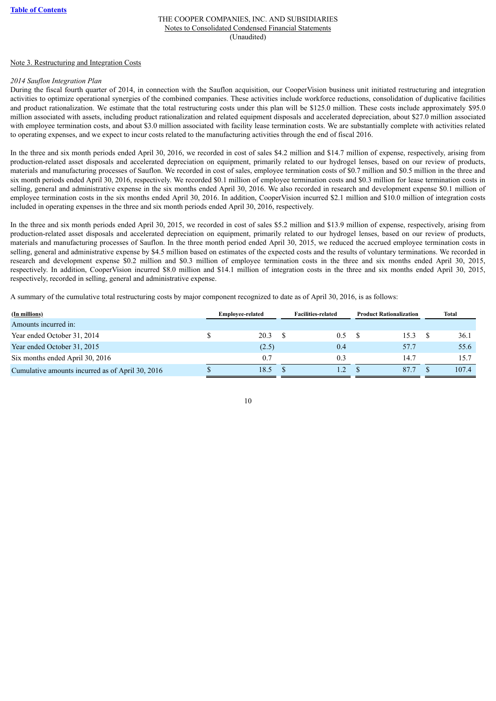#### Note 3. Restructuring and Integration Costs

#### *2014 Sauflon Integration Plan*

During the fiscal fourth quarter of 2014, in connection with the Sauflon acquisition, our CooperVision business unit initiated restructuring and integration activities to optimize operational synergies of the combined companies. These activities include workforce reductions, consolidation of duplicative facilities and product rationalization. We estimate that the total restructuring costs under this plan will be \$125.0 million. These costs include approximately \$95.0 million associated with assets, including product rationalization and related equipment disposals and accelerated depreciation, about \$27.0 million associated with employee termination costs, and about \$3.0 million associated with facility lease termination costs. We are substantially complete with activities related to operating expenses, and we expect to incur costs related to the manufacturing activities through the end of fiscal 2016.

In the three and six month periods ended April 30, 2016, we recorded in cost of sales \$4.2 million and \$14.7 million of expense, respectively, arising from production-related asset disposals and accelerated depreciation on equipment, primarily related to our hydrogel lenses, based on our review of products, materials and manufacturing processes of Sauflon. We recorded in cost of sales, employee termination costs of \$0.7 million and \$0.5 million in the three and six month periods ended April 30, 2016, respectively. We recorded \$0.1 million of employee termination costs and \$0.3 million for lease termination costs in selling, general and administrative expense in the six months ended April 30, 2016. We also recorded in research and development expense \$0.1 million of employee termination costs in the six months ended April 30, 2016. In addition, CooperVision incurred \$2.1 million and \$10.0 million of integration costs included in operating expenses in the three and six month periods ended April 30, 2016, respectively.

In the three and six month periods ended April 30, 2015, we recorded in cost of sales \$5.2 million and \$13.9 million of expense, respectively, arising from production-related asset disposals and accelerated depreciation on equipment, primarily related to our hydrogel lenses, based on our review of products, materials and manufacturing processes of Sauflon. In the three month period ended April 30, 2015, we reduced the accrued employee termination costs in selling, general and administrative expense by \$4.5 million based on estimates of the expected costs and the results of voluntary terminations. We recorded in research and development expense \$0.2 million and \$0.3 million of employee termination costs in the three and six months ended April 30, 2015, respectively. In addition, CooperVision incurred \$8.0 million and \$14.1 million of integration costs in the three and six months ended April 30, 2015, respectively, recorded in selling, general and administrative expense.

A summary of the cumulative total restructuring costs by major component recognized to date as of April 30, 2016, is as follows:

| (In millions)                                    | <b>Employee-related</b> | <b>Facilities-related</b> | <b>Product Rationalization</b> |      | Total |
|--------------------------------------------------|-------------------------|---------------------------|--------------------------------|------|-------|
| Amounts incurred in:                             |                         |                           |                                |      |       |
| Year ended October 31, 2014                      | 20.3                    | 0.5                       |                                | 15.3 | 36.1  |
| Year ended October 31, 2015                      | (2.5)                   | 0.4                       |                                | 57.7 | 55.6  |
| Six months ended April 30, 2016                  | 0.7                     | 0.3                       |                                | 14.7 | 15.7  |
| Cumulative amounts incurred as of April 30, 2016 | 18.5                    |                           |                                | 87.7 | 107.4 |

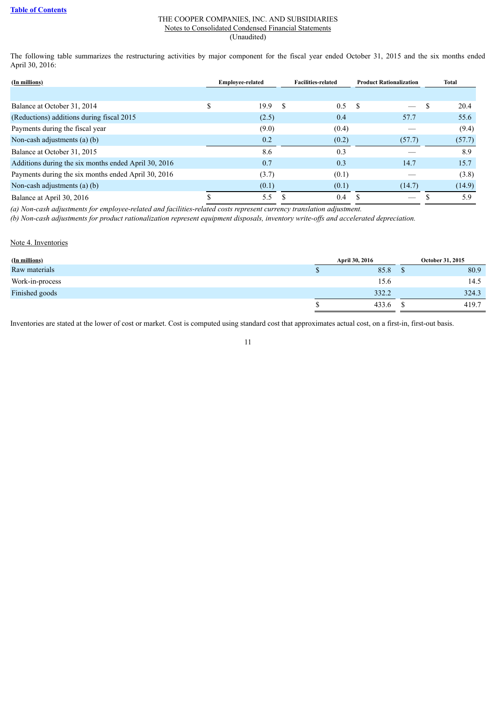The following table summarizes the restructuring activities by major component for the fiscal year ended October 31, 2015 and the six months ended April 30, 2016:

| (In millions)                                        | <b>Employee-related</b> |    | <b>Facilities-related</b> | <b>Product Rationalization</b> | Total |        |
|------------------------------------------------------|-------------------------|----|---------------------------|--------------------------------|-------|--------|
|                                                      |                         |    |                           |                                |       |        |
| Balance at October 31, 2014                          | 19.9                    | -S | 0.5                       | -S                             |       | 20.4   |
| (Reductions) additions during fiscal 2015            | (2.5)                   |    | 0.4                       | 57.7                           |       | 55.6   |
| Payments during the fiscal year                      | (9.0)                   |    | (0.4)                     |                                |       | (9.4)  |
| Non-cash adjustments (a) $(b)$                       | 0.2                     |    | (0.2)                     | (57.7)                         |       | (57.7) |
| Balance at October 31, 2015                          | 8.6                     |    | 0.3                       |                                |       | 8.9    |
| Additions during the six months ended April 30, 2016 | 0.7                     |    | 0.3                       | 14.7                           |       | 15.7   |
| Payments during the six months ended April 30, 2016  | (3.7)                   |    | (0.1)                     |                                |       | (3.8)  |
| Non-cash adjustments (a) $(b)$                       | (0.1)                   |    | (0.1)                     | (14.7)                         |       | (14.9) |
| Balance at April 30, 2016                            | 5.5                     |    | 0.4                       |                                |       | 5.9    |

*(a) Non-cash adjustments for employee-related and facilities-related costs represent currency translation adjustment.*

(b) Non-cash adjustments for product rationalization represent equipment disposals, inventory write-offs and accelerated depreciation.

Note 4. Inventories

| (In millions)   | <b>April 30, 2016</b> | October 31, 2015 |
|-----------------|-----------------------|------------------|
| Raw materials   | 85.8                  | 80.9             |
| Work-in-process | 15.6                  | 14.5             |
| Finished goods  | 332.2                 | 324.3            |
|                 | 433.6                 | 419.7            |

Inventories are stated at the lower of cost or market. Cost is computed using standard cost that approximates actual cost, on a first-in, first-out basis.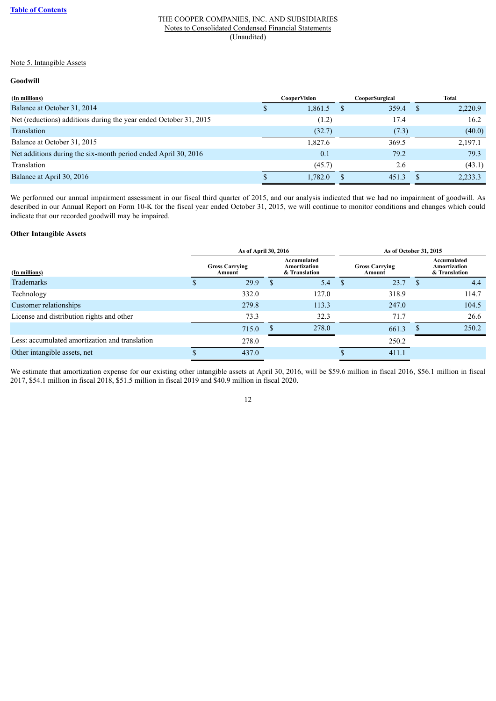#### Note 5. Intangible Assets

#### **Goodwill**

| (In millions)                                                     | CooperVision | CooperSurgical | Total   |
|-------------------------------------------------------------------|--------------|----------------|---------|
| Balance at October 31, 2014                                       | 1,861.5      | 359.4          | 2,220.9 |
| Net (reductions) additions during the year ended October 31, 2015 | (1.2)        | 17.4           | 16.2    |
| Translation                                                       | (32.7)       | (7.3)          | (40.0)  |
| Balance at October 31, 2015                                       | 1,827.6      | 369.5          | 2,197.1 |
| Net additions during the six-month period ended April 30, 2016    | 0.1          | 79.2           | 79.3    |
| Translation                                                       | (45.7)       | 2.6            | (43.1)  |
| Balance at April 30, 2016                                         | 1.782.0      | 451.3          | 2,233.3 |

We performed our annual impairment assessment in our fiscal third quarter of 2015, and our analysis indicated that we had no impairment of goodwill. As described in our Annual Report on Form 10-K for the fiscal year ended October 31, 2015, we will continue to monitor conditions and changes which could indicate that our recorded goodwill may be impaired.

#### **Other Intangible Assets**

|                                                |                                 | As of April 30, 2016 |     |                                              | As of October 31, 2015 |                                 |    |                                                     |  |  |
|------------------------------------------------|---------------------------------|----------------------|-----|----------------------------------------------|------------------------|---------------------------------|----|-----------------------------------------------------|--|--|
| (In millions)                                  | <b>Gross Carrying</b><br>Amount |                      |     | Accumulated<br>Amortization<br>& Translation |                        | <b>Gross Carrying</b><br>Amount |    | Accumulated<br><b>Amortization</b><br>& Translation |  |  |
| <b>Trademarks</b>                              | $\cdot$ D                       | 29.9                 | \$. | 5.4                                          | -S                     | 23.7                            | -S | 4.4                                                 |  |  |
| Technology                                     |                                 | 332.0                |     | 127.0                                        |                        | 318.9                           |    | 114.7                                               |  |  |
| Customer relationships                         |                                 | 279.8                |     | 113.3                                        |                        | 247.0                           |    | 104.5                                               |  |  |
| License and distribution rights and other      |                                 | 73.3                 |     | 32.3                                         |                        | 71.7                            |    | 26.6                                                |  |  |
|                                                |                                 | 715.0                |     | 278.0                                        |                        | 661.3                           |    | 250.2                                               |  |  |
| Less: accumulated amortization and translation |                                 | 278.0                |     |                                              |                        | 250.2                           |    |                                                     |  |  |
| Other intangible assets, net                   |                                 | 437.0                |     |                                              | ¢<br>$\mathbf{D}$      | 411.1                           |    |                                                     |  |  |

We estimate that amortization expense for our existing other intangible assets at April 30, 2016, will be \$59.6 million in fiscal 2016, \$56.1 million in fiscal 2017, \$54.1 million in fiscal 2018, \$51.5 million in fiscal 2019 and \$40.9 million in fiscal 2020.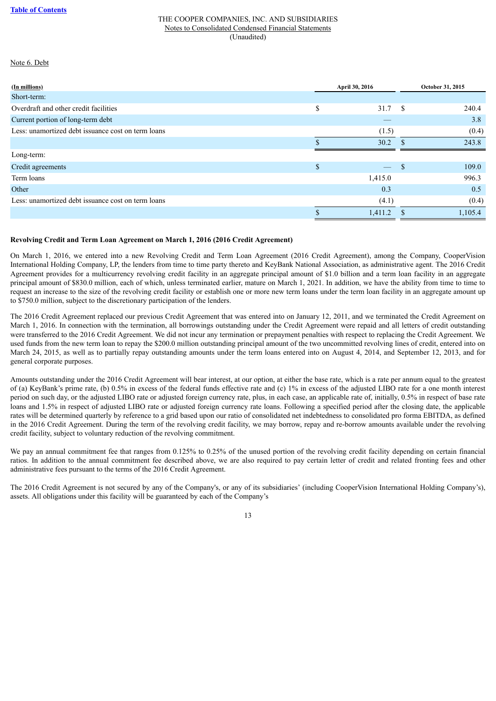Note 6. Debt

| (In millions)                                      | April 30, 2016                 |             | October 31, 2015 |  |  |
|----------------------------------------------------|--------------------------------|-------------|------------------|--|--|
| Short-term:                                        |                                |             |                  |  |  |
| Overdraft and other credit facilities              | \$<br>31.7                     | <b>S</b>    | 240.4            |  |  |
| Current portion of long-term debt                  |                                |             | 3.8              |  |  |
| Less: unamortized debt issuance cost on term loans | (1.5)                          |             | (0.4)            |  |  |
|                                                    | 30.2                           |             | 243.8            |  |  |
| Long-term:                                         |                                |             |                  |  |  |
| Credit agreements                                  | \$<br>$\overline{\phantom{m}}$ | $\mathbf S$ | 109.0            |  |  |
| Term loans                                         | 1,415.0                        |             | 996.3            |  |  |
| Other                                              | 0.3                            |             | 0.5              |  |  |
| Less: unamortized debt issuance cost on term loans | (4.1)                          |             | (0.4)            |  |  |
|                                                    | 1,411.2                        |             | 1,105.4          |  |  |

#### **Revolving Credit and Term Loan Agreement on March 1, 2016 (2016 Credit Agreement)**

On March 1, 2016, we entered into a new Revolving Credit and Term Loan Agreement (2016 Credit Agreement), among the Company, CooperVision International Holding Company, LP, the lenders from time to time party thereto and KeyBank National Association, as administrative agent. The 2016 Credit Agreement provides for a multicurrency revolving credit facility in an aggregate principal amount of \$1.0 billion and a term loan facility in an aggregate principal amount of \$830.0 million, each of which, unless terminated earlier, mature on March 1, 2021. In addition, we have the ability from time to time to request an increase to the size of the revolving credit facility or establish one or more new term loans under the term loan facility in an aggregate amount up to \$750.0 million, subject to the discretionary participation of the lenders.

The 2016 Credit Agreement replaced our previous Credit Agreement that was entered into on January 12, 2011, and we terminated the Credit Agreement on March 1, 2016. In connection with the termination, all borrowings outstanding under the Credit Agreement were repaid and all letters of credit outstanding were transferred to the 2016 Credit Agreement. We did not incur any termination or prepayment penalties with respect to replacing the Credit Agreement. We used funds from the new term loan to repay the \$200.0 million outstanding principal amount of the two uncommitted revolving lines of credit, entered into on March 24, 2015, as well as to partially repay outstanding amounts under the term loans entered into on August 4, 2014, and September 12, 2013, and for general corporate purposes.

Amounts outstanding under the 2016 Credit Agreement will bear interest, at our option, at either the base rate, which is a rate per annum equal to the greatest of (a) KeyBank's prime rate, (b)  $0.5\%$  in excess of the federal funds effective rate and (c)  $1\%$  in excess of the adjusted LIBO rate for a one month interest period on such day, or the adjusted LIBO rate or adjusted foreign currency rate, plus, in each case, an applicable rate of, initially, 0.5% in respect of base rate loans and 1.5% in respect of adjusted LIBO rate or adjusted foreign currency rate loans. Following a specified period after the closing date, the applicable rates will be determined quarterly by reference to a grid based upon our ratio of consolidated net indebtedness to consolidated pro forma EBITDA, as defined in the 2016 Credit Agreement. During the term of the revolving credit facility, we may borrow, repay and re-borrow amounts available under the revolving credit facility, subject to voluntary reduction of the revolving commitment.

We pay an annual commitment fee that ranges from 0.125% to 0.25% of the unused portion of the revolving credit facility depending on certain financial ratios. In addition to the annual commitment fee described above, we are also required to pay certain letter of credit and related fronting fees and other administrative fees pursuant to the terms of the 2016 Credit Agreement.

The 2016 Credit Agreement is not secured by any of the Company's, or any of its subsidiaries' (including CooperVision International Holding Company's), assets. All obligations under this facility will be guaranteed by each of the Company's

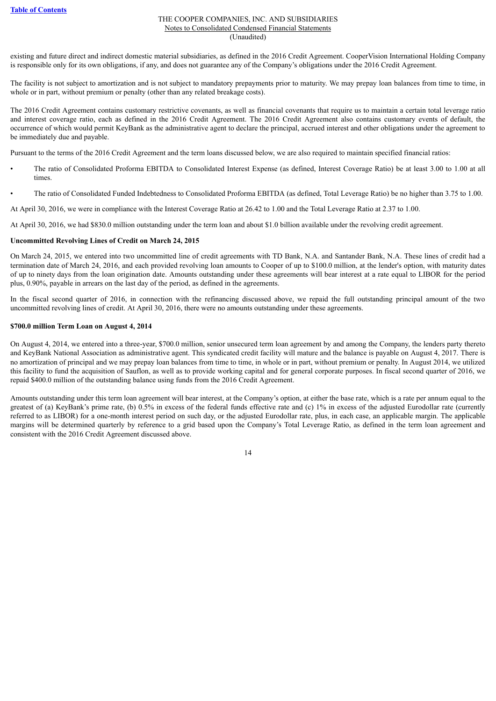existing and future direct and indirect domestic material subsidiaries, as defined in the 2016 Credit Agreement. CooperVision International Holding Company is responsible only for its own obligations, if any, and does not guarantee any of the Company's obligations under the 2016 Credit Agreement.

The facility is not subject to amortization and is not subject to mandatory prepayments prior to maturity. We may prepay loan balances from time to time, in whole or in part, without premium or penalty (other than any related breakage costs).

The 2016 Credit Agreement contains customary restrictive covenants, as well as financial covenants that require us to maintain a certain total leverage ratio and interest coverage ratio, each as defined in the 2016 Credit Agreement. The 2016 Credit Agreement also contains customary events of default, the occurrence of which would permit KeyBank as the administrative agent to declare the principal, accrued interest and other obligations under the agreement to be immediately due and payable.

Pursuant to the terms of the 2016 Credit Agreement and the term loans discussed below, we are also required to maintain specified financial ratios:

- The ratio of Consolidated Proforma EBITDA to Consolidated Interest Expense (as defined, Interest Coverage Ratio) be at least 3.00 to 1.00 at all times.
- The ratio of Consolidated Funded Indebtedness to Consolidated Proforma EBITDA (as defined, Total Leverage Ratio) be no higher than 3.75 to 1.00.

At April 30, 2016, we were in compliance with the Interest Coverage Ratio at 26.42 to 1.00 and the Total Leverage Ratio at 2.37 to 1.00.

At April 30, 2016, we had \$830.0 million outstanding under the term loan and about \$1.0 billion available under the revolving credit agreement.

#### **Uncommitted Revolving Lines of Credit on March 24, 2015**

On March 24, 2015, we entered into two uncommitted line of credit agreements with TD Bank, N.A. and Santander Bank, N.A. These lines of credit had a termination date of March 24, 2016, and each provided revolving loan amounts to Cooper of up to \$100.0 million, at the lender's option, with maturity dates of up to ninety days from the loan origination date. Amounts outstanding under these agreements will bear interest at a rate equal to LIBOR for the period plus, 0.90%, payable in arrears on the last day of the period, as defined in the agreements.

In the fiscal second quarter of 2016, in connection with the refinancing discussed above, we repaid the full outstanding principal amount of the two uncommitted revolving lines of credit. At April 30, 2016, there were no amounts outstanding under these agreements.

#### **\$700.0 million Term Loan on August 4, 2014**

On August 4, 2014, we entered into a three-year, \$700.0 million, senior unsecured term loan agreement by and among the Company, the lenders party thereto and KeyBank National Association as administrative agent. This syndicated credit facility will mature and the balance is payable on August 4, 2017. There is no amortization of principal and we may prepay loan balances from time to time, in whole or in part, without premium or penalty. In August 2014, we utilized this facility to fund the acquisition of Sauflon, as well as to provide working capital and for general corporate purposes. In fiscal second quarter of 2016, we repaid \$400.0 million of the outstanding balance using funds from the 2016 Credit Agreement.

Amounts outstanding under this term loan agreement will bear interest, at the Company's option, at either the base rate, which is a rate per annum equal to the greatest of (a) KeyBank's prime rate, (b) 0.5% in excess of the federal funds effective rate and (c) 1% in excess of the adjusted Eurodollar rate (currently referred to as LIBOR) for a one-month interest period on such day, or the adjusted Eurodollar rate, plus, in each case, an applicable margin. The applicable margins will be determined quarterly by reference to a grid based upon the Company's Total Leverage Ratio, as defined in the term loan agreement and consistent with the 2016 Credit Agreement discussed above.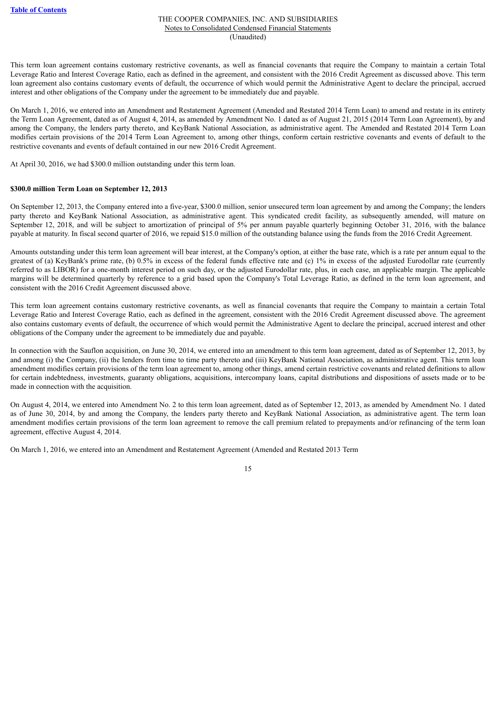This term loan agreement contains customary restrictive covenants, as well as financial covenants that require the Company to maintain a certain Total Leverage Ratio and Interest Coverage Ratio, each as defined in the agreement, and consistent with the 2016 Credit Agreement as discussed above. This term loan agreement also contains customary events of default, the occurrence of which would permit the Administrative Agent to declare the principal, accrued interest and other obligations of the Company under the agreement to be immediately due and payable.

On March 1, 2016, we entered into an Amendment and Restatement Agreement (Amended and Restated 2014 Term Loan) to amend and restate in its entirety the Term Loan Agreement, dated as of August 4, 2014, as amended by Amendment No. 1 dated as of August 21, 2015 (2014 Term Loan Agreement), by and among the Company, the lenders party thereto, and KeyBank National Association, as administrative agent. The Amended and Restated 2014 Term Loan modifies certain provisions of the 2014 Term Loan Agreement to, among other things, conform certain restrictive covenants and events of default to the restrictive covenants and events of default contained in our new 2016 Credit Agreement.

At April 30, 2016, we had \$300.0 million outstanding under this term loan.

#### **\$300.0 million Term Loan on September 12, 2013**

On September 12, 2013, the Company entered into a five-year, \$300.0 million, senior unsecured term loan agreement by and among the Company; the lenders party thereto and KeyBank National Association, as administrative agent. This syndicated credit facility, as subsequently amended, will mature on September 12, 2018, and will be subject to amortization of principal of 5% per annum payable quarterly beginning October 31, 2016, with the balance payable at maturity. In fiscal second quarter of 2016, we repaid \$15.0 million of the outstanding balance using the funds from the 2016 Credit Agreement.

Amounts outstanding under this term loan agreement will bear interest, at the Company's option, at either the base rate, which is a rate per annum equal to the greatest of (a) KeyBank's prime rate, (b) 0.5% in excess of the federal funds effective rate and (c) 1% in excess of the adjusted Eurodollar rate (currently referred to as LIBOR) for a one-month interest period on such day, or the adjusted Eurodollar rate, plus, in each case, an applicable margin. The applicable margins will be determined quarterly by reference to a grid based upon the Company's Total Leverage Ratio, as defined in the term loan agreement, and consistent with the 2016 Credit Agreement discussed above.

This term loan agreement contains customary restrictive covenants, as well as financial covenants that require the Company to maintain a certain Total Leverage Ratio and Interest Coverage Ratio, each as defined in the agreement, consistent with the 2016 Credit Agreement discussed above. The agreement also contains customary events of default, the occurrence of which would permit the Administrative Agent to declare the principal, accrued interest and other obligations of the Company under the agreement to be immediately due and payable.

In connection with the Sauflon acquisition, on June 30, 2014, we entered into an amendment to this term loan agreement, dated as of September 12, 2013, by and among (i) the Company, (ii) the lenders from time to time party thereto and (iii) KeyBank National Association, as administrative agent. This term loan amendment modifies certain provisions of the term loan agreement to, among other things, amend certain restrictive covenants and related definitions to allow for certain indebtedness, investments, guaranty obligations, acquisitions, intercompany loans, capital distributions and dispositions of assets made or to be made in connection with the acquisition.

On August 4, 2014, we entered into Amendment No. 2 to this term loan agreement, dated as of September 12, 2013, as amended by Amendment No. 1 dated as of June 30, 2014, by and among the Company, the lenders party thereto and KeyBank National Association, as administrative agent. The term loan amendment modifies certain provisions of the term loan agreement to remove the call premium related to prepayments and/or refinancing of the term loan agreement, effective August 4, 2014.

On March 1, 2016, we entered into an Amendment and Restatement Agreement (Amended and Restated 2013 Term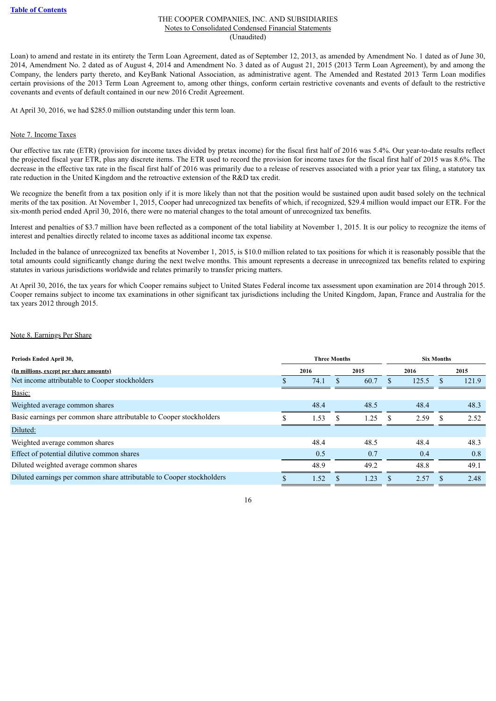Loan) to amend and restate in its entirety the Term Loan Agreement, dated as of September 12, 2013, as amended by Amendment No. 1 dated as of June 30, 2014, Amendment No. 2 dated as of August 4, 2014 and Amendment No. 3 dated as of August 21, 2015 (2013 Term Loan Agreement), by and among the Company, the lenders party thereto, and KeyBank National Association, as administrative agent. The Amended and Restated 2013 Term Loan modifies certain provisions of the 2013 Term Loan Agreement to, among other things, conform certain restrictive covenants and events of default to the restrictive covenants and events of default contained in our new 2016 Credit Agreement.

At April 30, 2016, we had \$285.0 million outstanding under this term loan.

#### Note 7. Income Taxes

Our effective tax rate (ETR) (provision for income taxes divided by pretax income) for the fiscal first half of 2016 was 5.4%. Our year-to-date results reflect the projected fiscal year ETR, plus any discrete items. The ETR used to record the provision for income taxes for the fiscal first half of 2015 was 8.6%. The decrease in the effective tax rate in the fiscal first half of 2016 was primarily due to a release of reserves associated with a prior year tax filing, a statutory tax rate reduction in the United Kingdom and the retroactive extension of the R&D tax credit.

We recognize the benefit from a tax position only if it is more likely than not that the position would be sustained upon audit based solely on the technical merits of the tax position. At November 1, 2015, Cooper had unrecognized tax benefits of which, if recognized, \$29.4 million would impact our ETR. For the six-month period ended April 30, 2016, there were no material changes to the total amount of unrecognized tax benefits.

Interest and penalties of \$3.7 million have been reflected as a component of the total liability at November 1, 2015. It is our policy to recognize the items of interest and penalties directly related to income taxes as additional income tax expense.

Included in the balance of unrecognized tax benefits at November 1, 2015, is \$10.0 million related to tax positions for which it is reasonably possible that the total amounts could significantly change during the next twelve months. This amount represents a decrease in unrecognized tax benefits related to expiring statutes in various jurisdictions worldwide and relates primarily to transfer pricing matters.

At April 30, 2016, the tax years for which Cooper remains subject to United States Federal income tax assessment upon examination are 2014 through 2015. Cooper remains subject to income tax examinations in other significant tax jurisdictions including the United Kingdom, Japan, France and Australia for the tax years 2012 through 2015.

#### Note 8. Earnings Per Share

| Periods Ended April 30,                                               | <b>Three Months</b> |      |  |      |  | <b>Six Months</b> |   |       |  |  |
|-----------------------------------------------------------------------|---------------------|------|--|------|--|-------------------|---|-------|--|--|
| (In millions, except per share amounts)                               | 2016                |      |  | 2015 |  | 2016              |   | 2015  |  |  |
| Net income attributable to Cooper stockholders                        |                     | 74.1 |  | 60.7 |  | 125.5             |   | 121.9 |  |  |
| Basic:                                                                |                     |      |  |      |  |                   |   |       |  |  |
| Weighted average common shares                                        |                     | 48.4 |  | 48.5 |  | 48.4              |   | 48.3  |  |  |
| Basic earnings per common share attributable to Cooper stockholders   |                     | 1.53 |  | 1.25 |  | 2.59              | S | 2.52  |  |  |
| Diluted:                                                              |                     |      |  |      |  |                   |   |       |  |  |
| Weighted average common shares                                        |                     | 48.4 |  | 48.5 |  | 48.4              |   | 48.3  |  |  |
| Effect of potential dilutive common shares                            |                     | 0.5  |  | 0.7  |  | 0.4               |   | 0.8   |  |  |
| Diluted weighted average common shares                                |                     | 48.9 |  | 49.2 |  | 48.8              |   | 49.1  |  |  |
| Diluted earnings per common share attributable to Cooper stockholders |                     | 1.52 |  | 1.23 |  | 2.57              |   | 2.48  |  |  |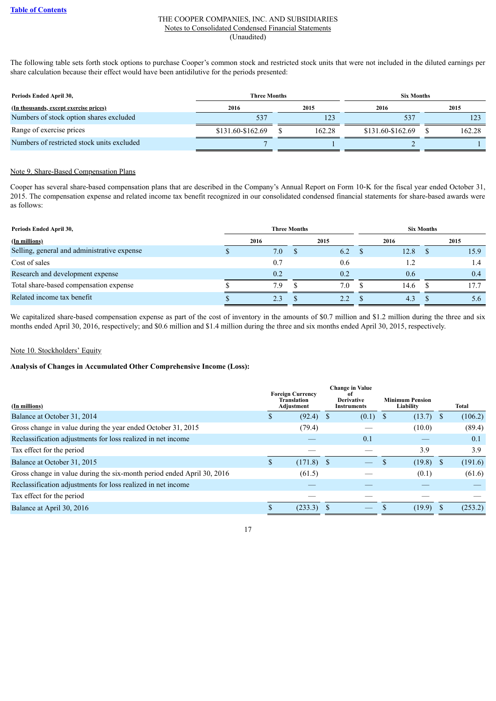The following table sets forth stock options to purchase Cooper's common stock and restricted stock units that were not included in the diluted earnings per share calculation because their effect would have been antidilutive for the periods presented:

| Periods Ended April 30,                    | <b>Three Months</b> |        | <b>Six Months</b> |  |        |  |  |
|--------------------------------------------|---------------------|--------|-------------------|--|--------|--|--|
| (In thousands, except exercise prices)     | 2016                | 2015   | 2016              |  | 2015   |  |  |
| Numbers of stock option shares excluded    | 537                 | 123    | 531               |  |        |  |  |
| Range of exercise prices                   | $$131.60-S162.69$   | 162.28 | $$131.60-S162.69$ |  | 162.28 |  |  |
| Numbers of restricted stock units excluded |                     |        |                   |  |        |  |  |

#### Note 9. Share-Based Compensation Plans

Cooper has several share-based compensation plans that are described in the Company's Annual Report on Form 10‑K for the fiscal year ended October 31, 2015. The compensation expense and related income tax benefit recognized in our consolidated condensed financial statements for share-based awards were as follows:

| Periods Ended April 30,                     | <b>Three Months</b> |     |  |      |  | <b>Six Months</b> |  |      |  |  |  |
|---------------------------------------------|---------------------|-----|--|------|--|-------------------|--|------|--|--|--|
| (In millions)                               | 2016                |     |  | 2015 |  | 2016              |  | 2015 |  |  |  |
| Selling, general and administrative expense |                     | 7.0 |  | 6.2  |  | 12.8              |  | 15.9 |  |  |  |
| Cost of sales                               |                     | 0.7 |  | 0.6  |  |                   |  | 1.4  |  |  |  |
| Research and development expense            |                     | 0.2 |  | 0.2  |  | 0.6               |  | 0.4  |  |  |  |
| Total share-based compensation expense      |                     | 7.9 |  | 7.0  |  | 14.6              |  |      |  |  |  |
| Related income tax benefit                  |                     | 2.3 |  | 2.2  |  | 4.3               |  | 5.6  |  |  |  |

We capitalized share-based compensation expense as part of the cost of inventory in the amounts of \$0.7 million and \$1.2 million during the three and six months ended April 30, 2016, respectively; and \$0.6 million and \$1.4 million during the three and six months ended April 30, 2015, respectively.

#### Note 10. Stockholders' Equity

#### **Analysis of Changes in Accumulated Other Comprehensive Income (Loss):**

| (In millions)                                                          | <b>Foreign Currency</b><br>Translation<br>Adjustment |              | <b>Change in Value</b><br>-of<br><b>Derivative</b><br>Instruments |       | <b>Minimum Pension</b><br>Liability |        | Total        |         |
|------------------------------------------------------------------------|------------------------------------------------------|--------------|-------------------------------------------------------------------|-------|-------------------------------------|--------|--------------|---------|
| Balance at October 31, 2014                                            |                                                      | (92.4)       |                                                                   | (0.1) |                                     | (13.7) | <sup>S</sup> | (106.2) |
| Gross change in value during the year ended October 31, 2015           |                                                      | (79.4)       |                                                                   |       |                                     | (10.0) |              | (89.4)  |
| Reclassification adjustments for loss realized in net income           |                                                      |              |                                                                   | 0.1   |                                     |        |              | 0.1     |
| Tax effect for the period                                              |                                                      |              |                                                                   |       |                                     | 3.9    |              | 3.9     |
| Balance at October 31, 2015                                            |                                                      | $(171.8)$ \$ |                                                                   |       |                                     | (19.8) | <sup>S</sup> | (191.6) |
| Gross change in value during the six-month period ended April 30, 2016 |                                                      | (61.5)       |                                                                   |       |                                     | (0.1)  |              | (61.6)  |
| Reclassification adjustments for loss realized in net income           |                                                      |              |                                                                   |       |                                     |        |              |         |
| Tax effect for the period                                              |                                                      |              |                                                                   |       |                                     |        |              |         |
| Balance at April 30, 2016                                              |                                                      | (233.3)      |                                                                   |       |                                     | (19.9) |              | (253.2) |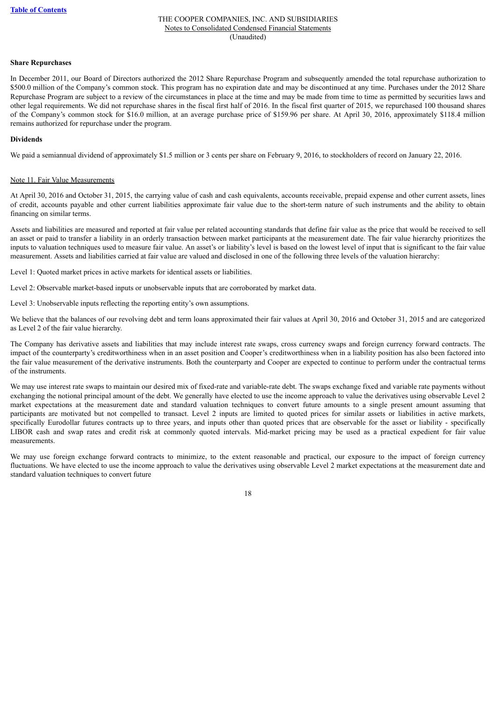#### **Share Repurchases**

In December 2011, our Board of Directors authorized the 2012 Share Repurchase Program and subsequently amended the total repurchase authorization to \$500.0 million of the Company's common stock. This program has no expiration date and may be discontinued at any time. Purchases under the 2012 Share Repurchase Program are subject to a review of the circumstances in place at the time and may be made from time to time as permitted by securities laws and other legal requirements. We did not repurchase shares in the fiscal first half of 2016. In the fiscal first quarter of 2015, we repurchased 100 thousand shares of the Company's common stock for \$16.0 million, at an average purchase price of \$159.96 per share. At April 30, 2016, approximately \$118.4 million remains authorized for repurchase under the program.

#### **Dividends**

We paid a semiannual dividend of approximately \$1.5 million or 3 cents per share on February 9, 2016, to stockholders of record on January 22, 2016.

#### Note 11. Fair Value Measurements

At April 30, 2016 and October 31, 2015, the carrying value of cash and cash equivalents, accounts receivable, prepaid expense and other current assets, lines of credit, accounts payable and other current liabilities approximate fair value due to the short-term nature of such instruments and the ability to obtain financing on similar terms.

Assets and liabilities are measured and reported at fair value per related accounting standards that define fair value as the price that would be received to sell an asset or paid to transfer a liability in an orderly transaction between market participants at the measurement date. The fair value hierarchy prioritizes the inputs to valuation techniques used to measure fair value. An asset's or liability's level is based on the lowest level of input that is significant to the fair value measurement. Assets and liabilities carried at fair value are valued and disclosed in one of the following three levels of the valuation hierarchy:

Level 1: Quoted market prices in active markets for identical assets or liabilities.

Level 2: Observable market-based inputs or unobservable inputs that are corroborated by market data.

Level 3: Unobservable inputs reflecting the reporting entity's own assumptions.

We believe that the balances of our revolving debt and term loans approximated their fair values at April 30, 2016 and October 31, 2015 and are categorized as Level 2 of the fair value hierarchy.

The Company has derivative assets and liabilities that may include interest rate swaps, cross currency swaps and foreign currency forward contracts. The impact of the counterparty's creditworthiness when in an asset position and Cooper's creditworthiness when in a liability position has also been factored into the fair value measurement of the derivative instruments. Both the counterparty and Cooper are expected to continue to perform under the contractual terms of the instruments.

We may use interest rate swaps to maintain our desired mix of fixed-rate and variable-rate debt. The swaps exchange fixed and variable rate payments without exchanging the notional principal amount of the debt. We generally have elected to use the income approach to value the derivatives using observable Level 2 market expectations at the measurement date and standard valuation techniques to convert future amounts to a single present amount assuming that participants are motivated but not compelled to transact. Level 2 inputs are limited to quoted prices for similar assets or liabilities in active markets, specifically Eurodollar futures contracts up to three years, and inputs other than quoted prices that are observable for the asset or liability - specifically LIBOR cash and swap rates and credit risk at commonly quoted intervals. Mid-market pricing may be used as a practical expedient for fair value measurements.

We may use foreign exchange forward contracts to minimize, to the extent reasonable and practical, our exposure to the impact of foreign currency fluctuations. We have elected to use the income approach to value the derivatives using observable Level 2 market expectations at the measurement date and standard valuation techniques to convert future

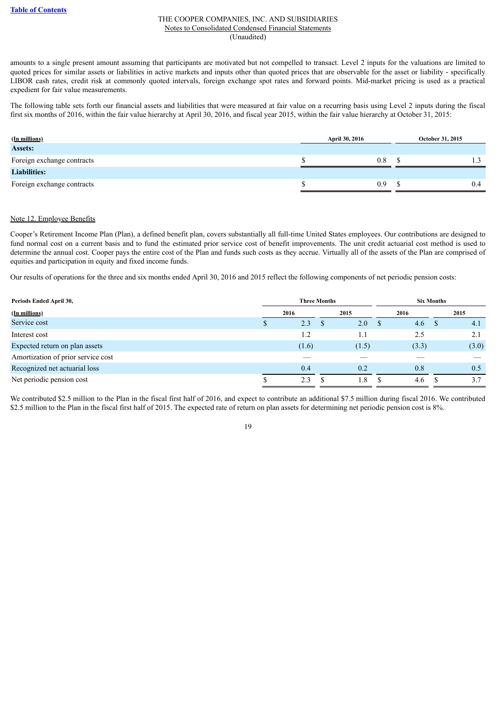amounts to a single present amount assuming that participants are motivated but not compelled to transact. Level 2 inputs for the valuations are limited to quoted prices for similar assets or liabilities in active markets and inputs other than quoted prices that are observable for the asset or liability - specifically LIBOR cash rates, credit risk at commonly quoted intervals, foreign exchange spot rates and forward points. Mid-market pricing is used as a practical expedient for fair value measurements.

The following table sets forth our financial assets and liabilities that were measured at fair value on a recurring basis using Level 2 inputs during the fiscal first six months of 2016, within the fair value hierarchy at April 30, 2016, and fiscal year 2015, within the fair value hierarchy at October 31, 2015:

| (In millions)              | <b>April 30, 2016</b> |     | October 31, 2015 |     |
|----------------------------|-----------------------|-----|------------------|-----|
| Assets:                    |                       |     |                  |     |
| Foreign exchange contracts |                       | 0.8 |                  |     |
| <b>Liabilities:</b>        |                       |     |                  |     |
| Foreign exchange contracts |                       | 0.9 |                  | 0.4 |
|                            |                       |     |                  |     |

#### Note 12. Employee Benefits

Cooper's Retirement Income Plan (Plan), a defined benefit plan, covers substantially all full-time United States employees. Our contributions are designed to fund normal cost on a current basis and to fund the estimated prior service cost of benefit improvements. The unit credit actuarial cost method is used to determine the annual cost. Cooper pays the entire cost of the Plan and funds such costs as they accrue. Virtually all of the assets of the Plan are comprised of equities and participation in equity and fixed income funds.

Our results of operations for the three and six months ended April 30, 2016 and 2015 reflect the following components of net periodic pension costs:

| Periods Ended April 30,            | <b>Three Months</b> |       |  |       |      | <b>Six Months</b> |  |       |  |  |  |  |
|------------------------------------|---------------------|-------|--|-------|------|-------------------|--|-------|--|--|--|--|
| (In millions)                      |                     | 2016  |  | 2015  |      | 2016              |  | 2015  |  |  |  |  |
| Service cost                       | D                   | 2.3   |  | 2.0   | - \$ | 4.6               |  | 4.1   |  |  |  |  |
| Interest cost                      |                     | 1.2   |  | 1.1   |      | 2.5               |  | 2.1   |  |  |  |  |
| Expected return on plan assets     |                     | (1.6) |  | (1.5) |      | (3.3)             |  | (3.0) |  |  |  |  |
| Amortization of prior service cost |                     |       |  |       |      |                   |  |       |  |  |  |  |
| Recognized net actuarial loss      |                     | 0.4   |  | 0.2   |      | 0.8               |  | 0.5   |  |  |  |  |
| Net periodic pension cost          |                     | 2.3   |  | 1.8   |      | 4.6               |  | 3.7   |  |  |  |  |

We contributed \$2.5 million to the Plan in the fiscal first half of 2016, and expect to contribute an additional \$7.5 million during fiscal 2016. We contributed \$2.5 million to the Plan in the fiscal first half of 2015. The expected rate of return on plan assets for determining net periodic pension cost is 8%.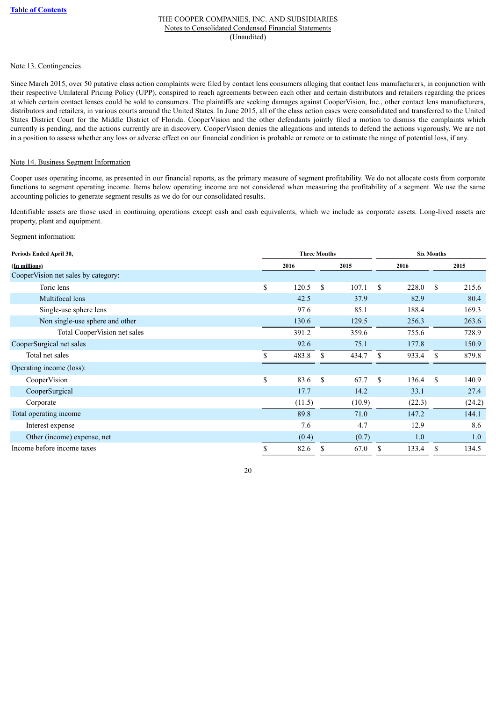#### Note 13. Contingencies

Since March 2015, over 50 putative class action complaints were filed by contact lens consumers alleging that contact lens manufacturers, in conjunction with their respective Unilateral Pricing Policy (UPP), conspired to reach agreements between each other and certain distributors and retailers regarding the prices at which certain contact lenses could be sold to consumers. The plaintiffs are seeking damages against CooperVision, Inc., other contact lens manufacturers, distributors and retailers, in various courts around the United States. In June 2015, all of the class action cases were consolidated and transferred to the United States District Court for the Middle District of Florida. CooperVision and the other defendants jointly filed a motion to dismiss the complaints which currently is pending, and the actions currently are in discovery. CooperVision denies the allegations and intends to defend the actions vigorously. We are not in a position to assess whether any loss or adverse effect on our financial condition is probable or remote or to estimate the range of potential loss, if any.

#### Note 14. Business Segment Information

Cooper uses operating income, as presented in our financial reports, as the primary measure of segment profitability. We do not allocate costs from corporate functions to segment operating income. Items below operating income are not considered when measuring the profitability of a segment. We use the same accounting policies to generate segment results as we do for our consolidated results.

Identifiable assets are those used in continuing operations except cash and cash equivalents, which we include as corporate assets. Long-lived assets are property, plant and equipment.

Segment information:

| Periods Ended April 30,             | <b>Three Months</b> |        |               |        | <b>Six Months</b> |        |               |        |  |  |
|-------------------------------------|---------------------|--------|---------------|--------|-------------------|--------|---------------|--------|--|--|
| (In millions)                       |                     | 2016   |               | 2015   |                   | 2016   |               | 2015   |  |  |
| CooperVision net sales by category: |                     |        |               |        |                   |        |               |        |  |  |
| Toric lens                          | \$                  | 120.5  | \$.           | 107.1  | \$.               | 228.0  | \$            | 215.6  |  |  |
| Multifocal lens                     |                     | 42.5   |               | 37.9   |                   | 82.9   |               | 80.4   |  |  |
| Single-use sphere lens              |                     | 97.6   |               | 85.1   |                   | 188.4  |               | 169.3  |  |  |
| Non single-use sphere and other     |                     | 130.6  |               | 129.5  |                   | 256.3  |               | 263.6  |  |  |
| Total CooperVision net sales        |                     | 391.2  |               | 359.6  |                   | 755.6  |               | 728.9  |  |  |
| CooperSurgical net sales            |                     | 92.6   |               | 75.1   |                   | 177.8  |               | 150.9  |  |  |
| Total net sales                     | $\mathbf{\hat{S}}$  | 483.8  | \$            | 434.7  | \$                | 933.4  | \$            | 879.8  |  |  |
| Operating income (loss):            |                     |        |               |        |                   |        |               |        |  |  |
| CooperVision                        | \$                  | 83.6   | <sup>\$</sup> | 67.7   | \$                | 136.4  | <sup>\$</sup> | 140.9  |  |  |
| CooperSurgical                      |                     | 17.7   |               | 14.2   |                   | 33.1   |               | 27.4   |  |  |
| Corporate                           |                     | (11.5) |               | (10.9) |                   | (22.3) |               | (24.2) |  |  |
| Total operating income              |                     | 89.8   |               | 71.0   |                   | 147.2  |               | 144.1  |  |  |
| Interest expense                    |                     | 7.6    |               | 4.7    |                   | 12.9   |               | 8.6    |  |  |
| Other (income) expense, net         |                     | (0.4)  |               | (0.7)  |                   | 1.0    |               | 1.0    |  |  |
| Income before income taxes          | \$                  | 82.6   | S             | 67.0   | \$                | 133.4  | S             | 134.5  |  |  |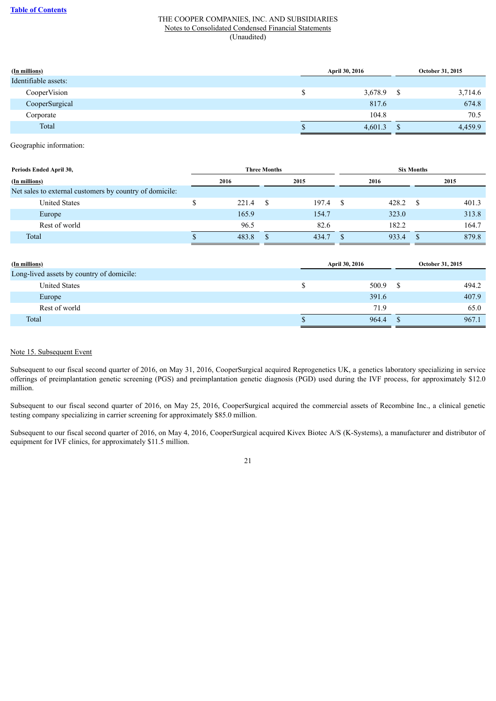| (In millions)        |   | April 30, 2016 | October 31, 2015 |
|----------------------|---|----------------|------------------|
| Identifiable assets: |   |                |                  |
| CooperVision         |   | 3,678.9        | 3,714.6          |
| CooperSurgical       |   | 817.6          | 674.8            |
| Corporate            |   | 104.8          | 70.5             |
| Total                | ъ | 4,601.3        | 4,459.9          |

## Geographic information:

| Periods Ended April 30,                                 | <b>Three Months</b> |              |       | <b>Six Months</b> |       |  |       |  |  |  |
|---------------------------------------------------------|---------------------|--------------|-------|-------------------|-------|--|-------|--|--|--|
| (In millions)                                           | 2016                | 2015<br>2016 |       |                   |       |  | 2015  |  |  |  |
| Net sales to external customers by country of domicile: |                     |              |       |                   |       |  |       |  |  |  |
| <b>United States</b>                                    | 221.4               | -S           | 197.4 |                   | 428.2 |  | 401.3 |  |  |  |
| Europe                                                  | 165.9               |              | 154.7 |                   | 323.0 |  | 313.8 |  |  |  |
| Rest of world                                           | 96.5                |              | 82.6  |                   | 182.2 |  | 164.7 |  |  |  |
| Total                                                   | 483.8               |              | 434.7 |                   | 933.4 |  | 879.8 |  |  |  |

| (In millions)                             |    | April 30, 2016 | October 31, 2015 |       |  |
|-------------------------------------------|----|----------------|------------------|-------|--|
| Long-lived assets by country of domicile: |    |                |                  |       |  |
| <b>United States</b>                      | ¢  | 500.9          |                  | 494.2 |  |
| Europe                                    |    | 391.6          |                  | 407.9 |  |
| Rest of world                             |    | 71.9           |                  | 65.0  |  |
| Total                                     | -D | 964.4          |                  | 967.1 |  |

#### Note 15. Subsequent Event

Subsequent to our fiscal second quarter of 2016, on May 31, 2016, CooperSurgical acquired Reprogenetics UK, a genetics laboratory specializing in service offerings of preimplantation genetic screening (PGS) and preimplantation genetic diagnosis (PGD) used during the IVF process, for approximately \$12.0 million.

Subsequent to our fiscal second quarter of 2016, on May 25, 2016, CooperSurgical acquired the commercial assets of Recombine Inc., a clinical genetic testing company specializing in carrier screening for approximately \$85.0 million.

Subsequent to our fiscal second quarter of 2016, on May 4, 2016, CooperSurgical acquired Kivex Biotec A/S (K-Systems), a manufacturer and distributor of equipment for IVF clinics, for approximately \$11.5 million.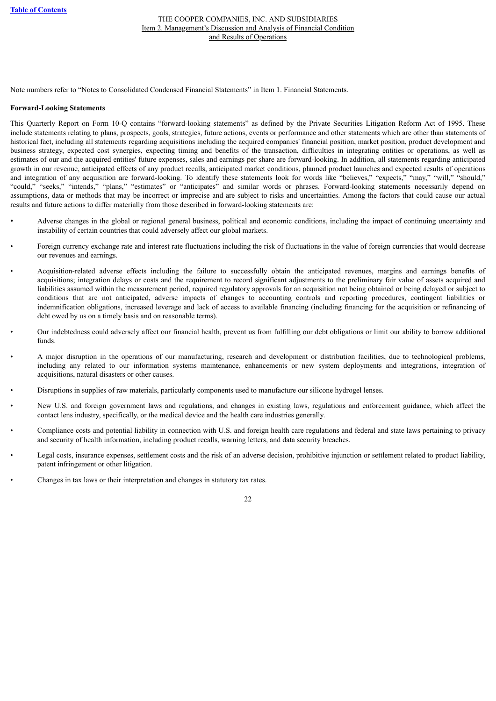<span id="page-21-0"></span>Note numbers refer to "Notes to Consolidated Condensed Financial Statements" in Item 1. Financial Statements.

#### **Forward-Looking Statements**

This Quarterly Report on Form 10-Q contains "forward-looking statements" as defined by the Private Securities Litigation Reform Act of 1995. These include statements relating to plans, prospects, goals, strategies, future actions, events or performance and other statements which are other than statements of historical fact, including all statements regarding acquisitions including the acquired companies' financial position, market position, product development and business strategy, expected cost synergies, expecting timing and benefits of the transaction, difficulties in integrating entities or operations, as well as estimates of our and the acquired entities' future expenses, sales and earnings per share are forward-looking. In addition, all statements regarding anticipated growth in our revenue, anticipated effects of any product recalls, anticipated market conditions, planned product launches and expected results of operations and integration of any acquisition are forward-looking. To identify these statements look for words like "believes," "expects," "may," "will," "should," "could," "seeks," "intends," "plans," "estimates" or "anticipates" and similar words or phrases. Forward-looking statements necessarily depend on assumptions, data or methods that may be incorrect or imprecise and are subject to risks and uncertainties. Among the factors that could cause our actual results and future actions to differ materially from those described in forward-looking statements are:

- Adverse changes in the global or regional general business, political and economic conditions, including the impact of continuing uncertainty and instability of certain countries that could adversely affect our global markets.
- Foreign currency exchange rate and interest rate fluctuations including the risk of fluctuations in the value of foreign currencies that would decrease our revenues and earnings.
- Acquisition-related adverse effects including the failure to successfully obtain the anticipated revenues, margins and earnings benefits of acquisitions; integration delays or costs and the requirement to record significant adjustments to the preliminary fair value of assets acquired and liabilities assumed within the measurement period, required regulatory approvals for an acquisition not being obtained or being delayed or subject to conditions that are not anticipated, adverse impacts of changes to accounting controls and reporting procedures, contingent liabilities or indemnification obligations, increased leverage and lack of access to available financing (including financing for the acquisition or refinancing of debt owed by us on a timely basis and on reasonable terms).
- Our indebtedness could adversely affect our financial health, prevent us from fulfilling our debt obligations or limit our ability to borrow additional funds.
- A major disruption in the operations of our manufacturing, research and development or distribution facilities, due to technological problems, including any related to our information systems maintenance, enhancements or new system deployments and integrations, integration of acquisitions, natural disasters or other causes.
- Disruptions in supplies of raw materials, particularly components used to manufacture our silicone hydrogel lenses.
- New U.S. and foreign government laws and regulations, and changes in existing laws, regulations and enforcement guidance, which affect the contact lens industry, specifically, or the medical device and the health care industries generally.
- Compliance costs and potential liability in connection with U.S. and foreign health care regulations and federal and state laws pertaining to privacy and security of health information, including product recalls, warning letters, and data security breaches.
- Legal costs, insurance expenses, settlement costs and the risk of an adverse decision, prohibitive injunction or settlement related to product liability, patent infringement or other litigation.
- Changes in tax laws or their interpretation and changes in statutory tax rates.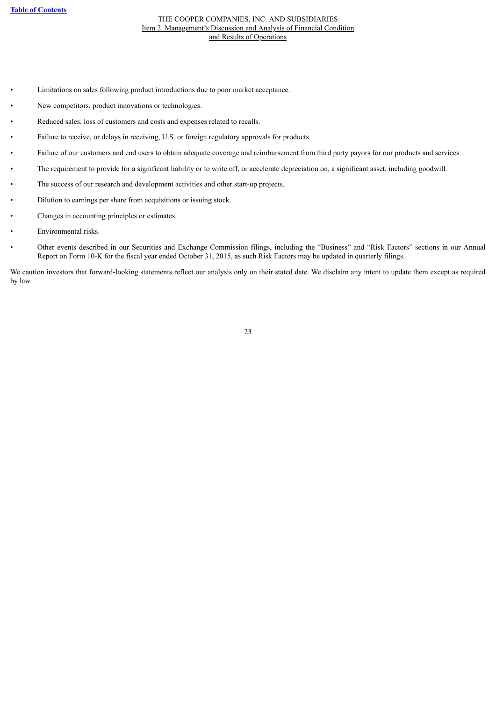- Limitations on sales following product introductions due to poor market acceptance.
- New competitors, product innovations or technologies.
- Reduced sales, loss of customers and costs and expenses related to recalls.
- Failure to receive, or delays in receiving, U.S. or foreign regulatory approvals for products.
- Failure of our customers and end users to obtain adequate coverage and reimbursement from third party payors for our products and services.
- The requirement to provide for a significant liability or to write off, or accelerate depreciation on, a significant asset, including goodwill.
- The success of our research and development activities and other start-up projects.
- Dilution to earnings per share from acquisitions or issuing stock.
- Changes in accounting principles or estimates.
- Environmental risks.
- Other events described in our Securities and Exchange Commission filings, including the "Business" and "Risk Factors" sections in our Annual Report on Form 10-K for the fiscal year ended October 31, 2015, as such Risk Factors may be updated in quarterly filings.

We caution investors that forward-looking statements reflect our analysis only on their stated date. We disclaim any intent to update them except as required by law.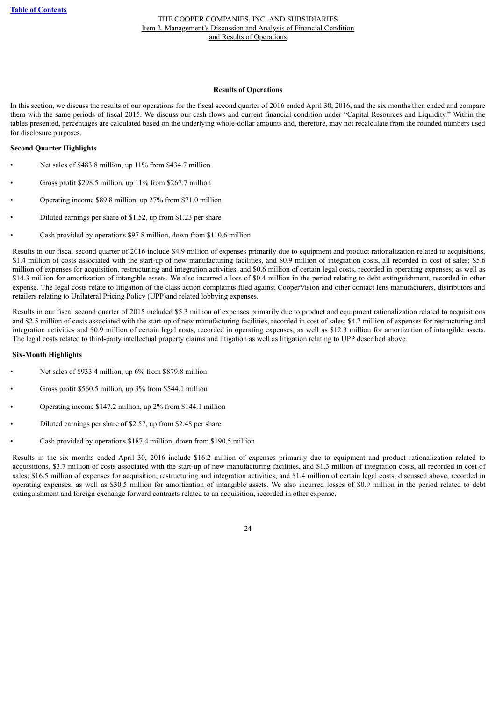#### **Results of Operations**

In this section, we discuss the results of our operations for the fiscal second quarter of 2016 ended April 30, 2016, and the six months then ended and compare them with the same periods of fiscal 2015. We discuss our cash flows and current financial condition under "Capital Resources and Liquidity." Within the tables presented, percentages are calculated based on the underlying whole-dollar amounts and, therefore, may not recalculate from the rounded numbers used for disclosure purposes.

#### **Second Quarter Highlights**

- Net sales of \$483.8 million, up 11% from \$434.7 million
- Gross profit \$298.5 million, up 11% from \$267.7 million
- Operating income \$89.8 million, up 27% from \$71.0 million
- Diluted earnings per share of \$1.52, up from \$1.23 per share
- Cash provided by operations \$97.8 million, down from \$110.6 million

Results in our fiscal second quarter of 2016 include \$4.9 million of expenses primarily due to equipment and product rationalization related to acquisitions, \$1.4 million of costs associated with the start-up of new manufacturing facilities, and \$0.9 million of integration costs, all recorded in cost of sales; \$5.6 million of expenses for acquisition, restructuring and integration activities, and \$0.6 million of certain legal costs, recorded in operating expenses; as well as \$14.3 million for amortization of intangible assets. We also incurred a loss of \$0.4 million in the period relating to debt extinguishment, recorded in other expense. The legal costs relate to litigation of the class action complaints filed against CooperVision and other contact lens manufacturers, distributors and retailers relating to Unilateral Pricing Policy (UPP)and related lobbying expenses.

Results in our fiscal second quarter of 2015 included \$5.3 million of expenses primarily due to product and equipment rationalization related to acquisitions and \$2.5 million of costs associated with the start-up of new manufacturing facilities, recorded in cost of sales; \$4.7 million of expenses for restructuring and integration activities and \$0.9 million of certain legal costs, recorded in operating expenses; as well as \$12.3 million for amortization of intangible assets. The legal costs related to third-party intellectual property claims and litigation as well as litigation relating to UPP described above.

#### **Six-Month Highlights**

- Net sales of \$933.4 million, up 6% from \$879.8 million
- Gross profit \$560.5 million, up 3% from \$544.1 million
- Operating income \$147.2 million, up 2% from \$144.1 million
- Diluted earnings per share of \$2.57, up from \$2.48 per share
- Cash provided by operations \$187.4 million, down from \$190.5 million

Results in the six months ended April 30, 2016 include \$16.2 million of expenses primarily due to equipment and product rationalization related to acquisitions, \$3.7 million of costs associated with the start-up of new manufacturing facilities, and \$1.3 million of integration costs, all recorded in cost of sales; \$16.5 million of expenses for acquisition, restructuring and integration activities, and \$1.4 million of certain legal costs, discussed above, recorded in operating expenses; as well as \$30.5 million for amortization of intangible assets. We also incurred losses of \$0.9 million in the period related to debt extinguishment and foreign exchange forward contracts related to an acquisition, recorded in other expense.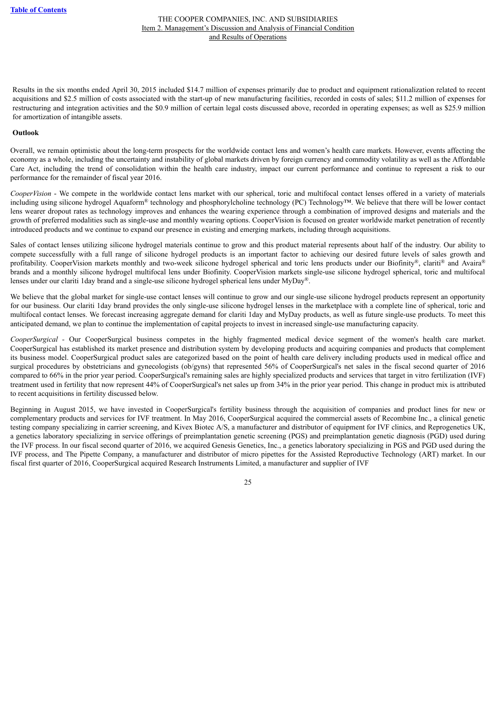Results in the six months ended April 30, 2015 included \$14.7 million of expenses primarily due to product and equipment rationalization related to recent acquisitions and \$2.5 million of costs associated with the start-up of new manufacturing facilities, recorded in costs of sales; \$11.2 million of expenses for restructuring and integration activities and the \$0.9 million of certain legal costs discussed above, recorded in operating expenses; as well as \$25.9 million for amortization of intangible assets.

#### **Outlook**

Overall, we remain optimistic about the long-term prospects for the worldwide contact lens and women's health care markets. However, events affecting the economy as a whole, including the uncertainty and instability of global markets driven by foreign currency and commodity volatility as well as the Affordable Care Act, including the trend of consolidation within the health care industry, impact our current performance and continue to represent a risk to our performance for the remainder of fiscal year 2016.

*CooperVision* - We compete in the worldwide contact lens market with our spherical, toric and multifocal contact lenses offered in a variety of materials including using silicone hydrogel Aquaform® technology and phosphorylcholine technology (PC) Technology™. We believe that there will be lower contact lens wearer dropout rates as technology improves and enhances the wearing experience through a combination of improved designs and materials and the growth of preferred modalities such as single-use and monthly wearing options. CooperVision is focused on greater worldwide market penetration of recently introduced products and we continue to expand our presence in existing and emerging markets, including through acquisitions.

Sales of contact lenses utilizing silicone hydrogel materials continue to grow and this product material represents about half of the industry. Our ability to compete successfully with a full range of silicone hydrogel products is an important factor to achieving our desired future levels of sales growth and profitability. CooperVision markets monthly and two-week silicone hydrogel spherical and toric lens products under our Biofinity®, clariti® and Avaira® brands and a monthly silicone hydrogel multifocal lens under Biofinity. CooperVision markets single-use silicone hydrogel spherical, toric and multifocal lenses under our clariti 1day brand and a single-use silicone hydrogel spherical lens under MyDay®.

We believe that the global market for single-use contact lenses will continue to grow and our single-use silicone hydrogel products represent an opportunity for our business. Our clariti 1day brand provides the only single-use silicone hydrogel lenses in the marketplace with a complete line of spherical, toric and multifocal contact lenses. We forecast increasing aggregate demand for clariti 1day and MyDay products, as well as future single-use products. To meet this anticipated demand, we plan to continue the implementation of capital projects to invest in increased single-use manufacturing capacity.

*CooperSurgical -* Our CooperSurgical business competes in the highly fragmented medical device segment of the women's health care market. CooperSurgical has established its market presence and distribution system by developing products and acquiring companies and products that complement its business model. CooperSurgical product sales are categorized based on the point of health care delivery including products used in medical office and surgical procedures by obstetricians and gynecologists (ob/gyns) that represented 56% of CooperSurgical's net sales in the fiscal second quarter of 2016 compared to 66% in the prior year period. CooperSurgical's remaining sales are highly specialized products and services that target in vitro fertilization (IVF) treatment used in fertility that now represent 44% of CooperSurgical's net sales up from 34% in the prior year period. This change in product mix is attributed to recent acquisitions in fertility discussed below.

Beginning in August 2015, we have invested in CooperSurgical's fertility business through the acquisition of companies and product lines for new or complementary products and services for IVF treatment. In May 2016, CooperSurgical acquired the commercial assets of Recombine Inc., a clinical genetic testing company specializing in carrier screening, and Kivex Biotec A/S, a manufacturer and distributor of equipment for IVF clinics, and Reprogenetics UK, a genetics laboratory specializing in service offerings of preimplantation genetic screening (PGS) and preimplantation genetic diagnosis (PGD) used during the IVF process. In our fiscal second quarter of 2016, we acquired Genesis Genetics, Inc., a genetics laboratory specializing in PGS and PGD used during the IVF process, and The Pipette Company, a manufacturer and distributor of micro pipettes for the Assisted Reproductive Technology (ART) market. In our fiscal first quarter of 2016, CooperSurgical acquired Research Instruments Limited, a manufacturer and supplier of IVF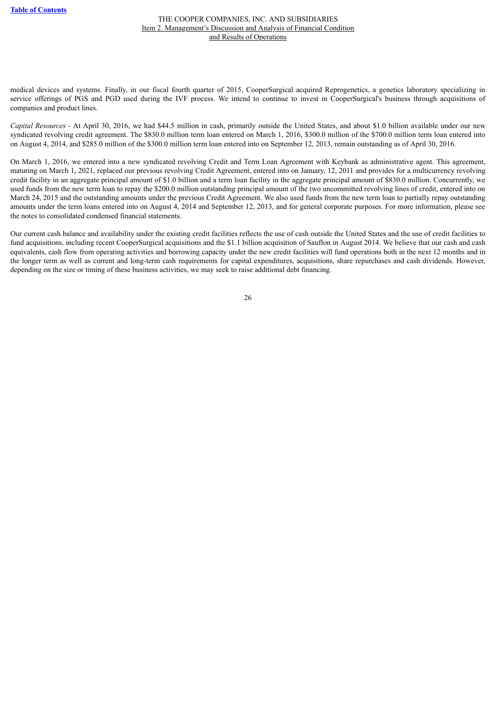medical devices and systems. Finally, in our fiscal fourth quarter of 2015, CooperSurgical acquired Reprogenetics, a genetics laboratory specializing in service offerings of PGS and PGD used during the IVF process. We intend to continue to invest in CooperSurgical's business through acquisitions of companies and product lines.

*Capital Resources -* At April 30, 2016, we had \$44.5 million in cash, primarily outside the United States, and about \$1.0 billion available under our new syndicated revolving credit agreement. The \$830.0 million term loan entered on March 1, 2016, \$300.0 million of the \$700.0 million term loan entered into on August 4, 2014, and \$285.0 million of the \$300.0 million term loan entered into on September 12, 2013, remain outstanding as of April 30, 2016.

On March 1, 2016, we entered into a new syndicated revolving Credit and Term Loan Agreement with Keybank as administrative agent. This agreement, maturing on March 1, 2021, replaced our previous revolving Credit Agreement, entered into on January, 12, 2011 and provides for a multicurrency revolving credit facility in an aggregate principal amount of \$1.0 billion and a term loan facility in the aggregate principal amount of \$830.0 million. Concurrently, we used funds from the new term loan to repay the \$200.0 million outstanding principal amount of the two uncommitted revolving lines of credit, entered into on March 24, 2015 and the outstanding amounts under the previous Credit Agreement. We also used funds from the new term loan to partially repay outstanding amounts under the term loans entered into on August 4, 2014 and September 12, 2013, and for general corporate purposes. For more information, please see the notes to consolidated condensed financial statements.

Our current cash balance and availability under the existing credit facilities reflects the use of cash outside the United States and the use of credit facilities to fund acquisitions, including recent CooperSurgical acquisitions and the \$1.1 billion acquisition of Sauflon in August 2014. We believe that our cash and cash equivalents, cash flow from operating activities and borrowing capacity under the new credit facilities will fund operations both in the next 12 months and in the longer term as well as current and long-term cash requirements for capital expenditures, acquisitions, share repurchases and cash dividends. However, depending on the size or timing of these business activities, we may seek to raise additional debt financing.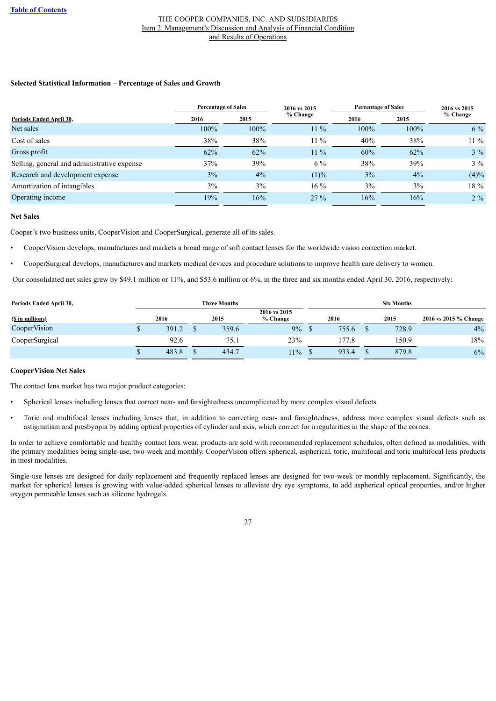#### **Selected Statistical Information – Percentage of Sales and Growth**

|                                             | <b>Percentage of Sales</b><br>2015<br>2016 |      | 2016 vs 2015 | <b>Percentage of Sales</b> | 2016 vs 2015 |          |
|---------------------------------------------|--------------------------------------------|------|--------------|----------------------------|--------------|----------|
| Periods Ended April 30,                     |                                            |      | % Change     | 2016                       | 2015         | % Change |
| Net sales                                   | 100%                                       | 100% | $11\%$       | 100%                       | 100%         | $6\%$    |
| Cost of sales                               | 38%                                        | 38%  | $11\%$       | 40%                        | 38%          | $11\%$   |
| Gross profit                                | 62%                                        | 62%  | $11\%$       | 60%                        | 62%          | $3\%$    |
| Selling, general and administrative expense | 37%                                        | 39%  | $6\%$        | 38%                        | 39%          | $3\%$    |
| Research and development expense            | 3%                                         | 4%   | (1)%         | $3\%$                      | $4\%$        | (4)%     |
| Amortization of intangibles                 | 3%                                         | 3%   | $16\%$       | 3%                         | 3%           | 18 %     |
| Operating income                            | 19%                                        | 16%  | 27%          | 16%                        | 16%          | $2\%$    |

#### **Net Sales**

Cooper's two business units, CooperVision and CooperSurgical, generate all of its sales.

- CooperVision develops, manufactures and markets a broad range of soft contact lenses for the worldwide vision correction market.
- CooperSurgical develops, manufactures and markets medical devices and procedure solutions to improve health care delivery to women.

Our consolidated net sales grew by \$49.1 million or 11%, and \$53.6 million or 6%, in the three and six months ended April 30, 2016, respectively:

| Periods Ended April 30, |       | <b>Three Months</b> |                          | <b>Six Months</b> |       |      |       |                       |
|-------------------------|-------|---------------------|--------------------------|-------------------|-------|------|-------|-----------------------|
| (\$ in millions)        | 2016  | 2015                | 2016 vs 2015<br>% Change | 2016              |       | 2015 |       | 2016 vs 2015 % Change |
| CooperVision            | 391.2 | 359.6               | 9%                       |                   | 755.6 |      | 728.9 | 4%                    |
| CooperSurgical          | 92.6  | 75.1                | 23%                      |                   | 77.8  |      | 150.9 | 18%                   |
|                         | 483.8 | 434.7               | 11%                      |                   | 933.4 |      | 879.8 | 6%                    |

#### **CooperVision Net Sales**

The contact lens market has two major product categories:

- Spherical lenses including lenses that correct near- and farsightedness uncomplicated by more complex visual defects.
- Toric and multifocal lenses including lenses that, in addition to correcting near- and farsightedness, address more complex visual defects such as astigmatism and presbyopia by adding optical properties of cylinder and axis, which correct for irregularities in the shape of the cornea.

In order to achieve comfortable and healthy contact lens wear, products are sold with recommended replacement schedules, often defined as modalities, with the primary modalities being single-use, two-week and monthly. CooperVision offers spherical, aspherical, toric, multifocal and toric multifocal lens products in most modalities.

Single-use lenses are designed for daily replacement and frequently replaced lenses are designed for two-week or monthly replacement. Significantly, the market for spherical lenses is growing with value-added spherical lenses to alleviate dry eye symptoms, to add aspherical optical properties, and/or higher oxygen permeable lenses such as silicone hydrogels.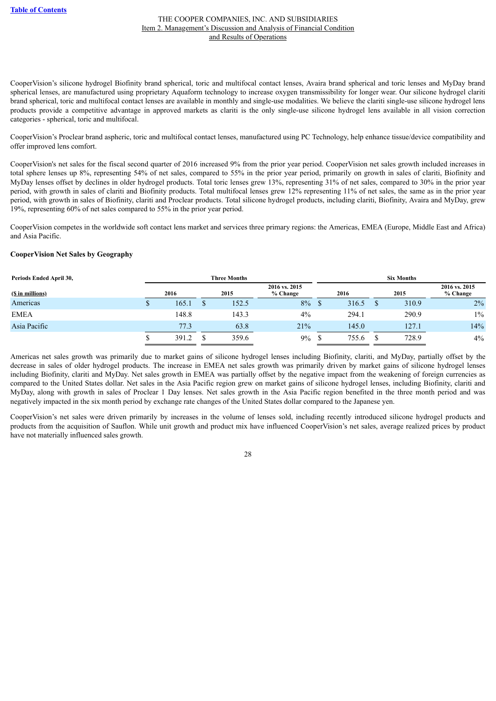CooperVision's silicone hydrogel Biofinity brand spherical, toric and multifocal contact lenses, Avaira brand spherical and toric lenses and MyDay brand spherical lenses, are manufactured using proprietary Aquaform technology to increase oxygen transmissibility for longer wear. Our silicone hydrogel clariti brand spherical, toric and multifocal contact lenses are available in monthly and single-use modalities. We believe the clariti single-use silicone hydrogel lens products provide a competitive advantage in approved markets as clariti is the only single-use silicone hydrogel lens available in all vision correction categories - spherical, toric and multifocal.

CooperVision's Proclear brand aspheric, toric and multifocal contact lenses, manufactured using PC Technology, help enhance tissue/device compatibility and offer improved lens comfort.

CooperVision's net sales for the fiscal second quarter of 2016 increased 9% from the prior year period. CooperVision net sales growth included increases in total sphere lenses up 8%, representing 54% of net sales, compared to 55% in the prior year period, primarily on growth in sales of clariti, Biofinity and MyDay lenses offset by declines in older hydrogel products. Total toric lenses grew 13%, representing 31% of net sales, compared to 30% in the prior year period, with growth in sales of clariti and Biofinity products. Total multifocal lenses grew 12% representing 11% of net sales, the same as in the prior year period, with growth in sales of Biofinity, clariti and Proclear products. Total silicone hydrogel products, including clariti, Biofinity, Avaira and MyDay, grew 19%, representing 60% of net sales compared to 55% in the prior year period.

CooperVision competes in the worldwide soft contact lens market and services three primary regions: the Americas, EMEA (Europe, Middle East and Africa) and Asia Pacific.

#### **CooperVision Net Sales by Geography**

| Periods Ended April 30, |       | <b>Three Months</b> |                           |       | <b>Six Months</b> |                           |
|-------------------------|-------|---------------------|---------------------------|-------|-------------------|---------------------------|
| (\$ in millions)        | 2016  | 2015                | 2016 vs. 2015<br>% Change | 2016  | 2015              | 2016 vs. 2015<br>% Change |
| Americas                | 165.1 | 152.5               | 8%                        | 316.5 | 310.9             | 2%                        |
| EMEA                    | 148.8 | 143.3               | 4%                        | 294.1 | 290.9             | $1\%$                     |
| Asia Pacific            | 77.3  | 63.8                | 21%                       | 145.0 | 127.1             | 14%                       |
|                         | 391.2 | 359.6               | 9%                        | 755.6 | 728.9             | 4%                        |

Americas net sales growth was primarily due to market gains of silicone hydrogel lenses including Biofinity, clariti, and MyDay, partially offset by the decrease in sales of older hydrogel products. The increase in EMEA net sales growth was primarily driven by market gains of silicone hydrogel lenses including Biofinity, clariti and MyDay. Net sales growth in EMEA was partially offset by the negative impact from the weakening of foreign currencies as compared to the United States dollar. Net sales in the Asia Pacific region grew on market gains of silicone hydrogel lenses, including Biofinity, clariti and MyDay, along with growth in sales of Proclear 1 Day lenses. Net sales growth in the Asia Pacific region benefited in the three month period and was negatively impacted in the six month period by exchange rate changes of the United States dollar compared to the Japanese yen.

CooperVision's net sales were driven primarily by increases in the volume of lenses sold, including recently introduced silicone hydrogel products and products from the acquisition of Sauflon. While unit growth and product mix have influenced CooperVision's net sales, average realized prices by product have not materially influenced sales growth.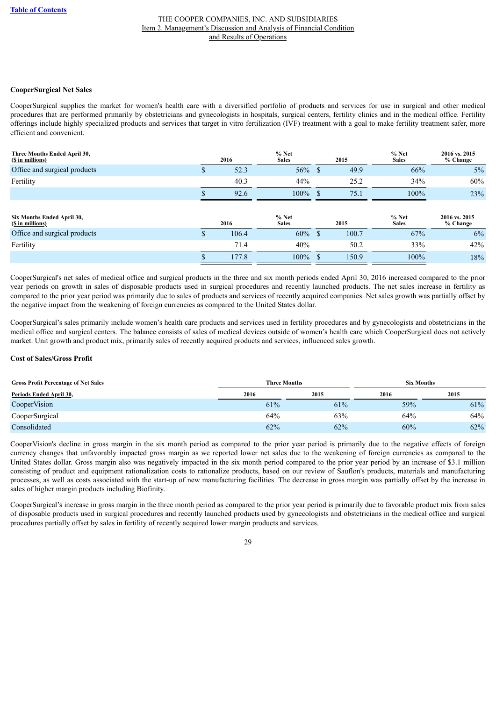#### **CooperSurgical Net Sales**

CooperSurgical supplies the market for women's health care with a diversified portfolio of products and services for use in surgical and other medical procedures that are performed primarily by obstetricians and gynecologists in hospitals, surgical centers, fertility clinics and in the medical office. Fertility offerings include highly specialized products and services that target in vitro fertilization (IVF) treatment with a goal to make fertility treatment safer, more efficient and convenient.

| Three Months Ended April 30,<br>(\$ in millions) |    | 2016  | $%$ Net<br><b>Sales</b> |              | 2015  | $%$ Net<br><b>Sales</b> | 2016 vs. 2015<br>% Change |  |
|--------------------------------------------------|----|-------|-------------------------|--------------|-------|-------------------------|---------------------------|--|
| Office and surgical products                     | S  | 52.3  | 56%<br>S                |              | 49.9  | 66%                     | $5\%$                     |  |
| Fertility                                        |    | 40.3  | 44%                     |              | 25.2  | 34%                     | 60%                       |  |
|                                                  |    | 92.6  | 100%                    | -S           | 75.1  | 100%                    | 23%                       |  |
| Six Months Ended April 30,<br>(\$ in millions)   |    | 2016  | $%$ Net<br><b>Sales</b> |              | 2015  | $%$ Net<br><b>Sales</b> | 2016 vs. 2015<br>% Change |  |
| Office and surgical products                     | \$ | 106.4 | 60%                     | <sup>S</sup> | 100.7 | 67%                     | 6%                        |  |
| Fertility                                        |    | 71.4  | 40%                     |              | 50.2  | 33%                     | 42%                       |  |
|                                                  | \$ | 177.8 | 100%                    |              | 150.9 | 100%                    | 18%                       |  |

CooperSurgical's net sales of medical office and surgical products in the three and six month periods ended April 30, 2016 increased compared to the prior year periods on growth in sales of disposable products used in surgical procedures and recently launched products. The net sales increase in fertility as compared to the prior year period was primarily due to sales of products and services of recently acquired companies. Net sales growth was partially offset by the negative impact from the weakening of foreign currencies as compared to the United States dollar.

CooperSurgical's sales primarily include women's health care products and services used in fertility procedures and by gynecologists and obstetricians in the medical office and surgical centers. The balance consists of sales of medical devices outside of women's health care which CooperSurgical does not actively market. Unit growth and product mix, primarily sales of recently acquired products and services, influenced sales growth.

#### **Cost of Sales/Gross Profit**

| <b>Gross Profit Percentage of Net Sales</b> | <b>Three Months</b> |      | <b>Six Months</b> |      |  |  |
|---------------------------------------------|---------------------|------|-------------------|------|--|--|
| Periods Ended April 30,                     | 2016                | 2015 | 2016              | 2015 |  |  |
| CooperVision                                | 61%                 | 61%  | 59%               | 61%  |  |  |
| CooperSurgical                              | 64%                 | 63%  | 64%               | 64%  |  |  |
| Consolidated                                | 62%                 | 62%  | 60%               | 62%  |  |  |

CooperVision's decline in gross margin in the six month period as compared to the prior year period is primarily due to the negative effects of foreign currency changes that unfavorably impacted gross margin as we reported lower net sales due to the weakening of foreign currencies as compared to the United States dollar. Gross margin also was negatively impacted in the six month period compared to the prior year period by an increase of \$3.1 million consisting of product and equipment rationalization costs to rationalize products, based on our review of Sauflon's products, materials and manufacturing processes, as well as costs associated with the start-up of new manufacturing facilities. The decrease in gross margin was partially offset by the increase in sales of higher margin products including Biofinity.

CooperSurgical's increase in gross margin in the three month period as compared to the prior year period is primarily due to favorable product mix from sales of disposable products used in surgical procedures and recently launched products used by gynecologists and obstetricians in the medical office and surgical procedures partially offset by sales in fertility of recently acquired lower margin products and services.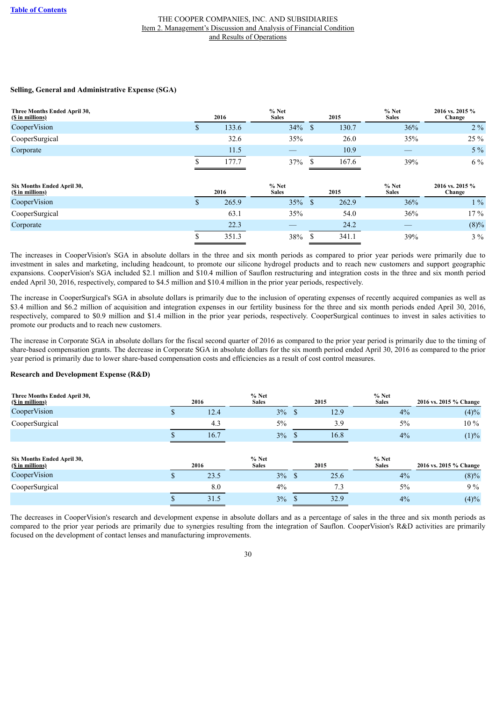#### **Selling, General and Administrative Expense (SGA)**

| Three Months Ended April 30,<br>(\$ in millions) |              | 2016  | $%$ Net<br><b>Sales</b> |               | 2015  | $%$ Net<br><b>Sales</b> | 2016 vs. 2015 %<br>Change |
|--------------------------------------------------|--------------|-------|-------------------------|---------------|-------|-------------------------|---------------------------|
| CooperVision                                     | S            | 133.6 | 34%                     | <sup>\$</sup> | 130.7 | 36%                     | $2\%$                     |
| CooperSurgical                                   |              | 32.6  | 35%                     |               | 26.0  | 35%                     | 25 %                      |
| Corporate                                        |              | 11.5  | __                      |               | 10.9  |                         | $5\%$                     |
|                                                  |              | 177.7 | 37%                     |               | 167.6 | 39%                     | 6 %                       |
| Six Months Ended April 30,<br>(\$ in millions)   |              | 2016  | $%$ Net<br><b>Sales</b> |               | 2015  | $%$ Net<br><b>Sales</b> | 2016 vs. 2015 %<br>Change |
| CooperVision                                     | <sup>S</sup> | 265.9 | 35%                     | -S            | 262.9 | 36%                     | $1\%$                     |
| CooperSurgical                                   |              | 63.1  | 35%                     |               | 54.0  | 36%                     | $17\%$                    |
| Corporate                                        |              | 22.3  |                         |               | 24.2  |                         | (8)%                      |
|                                                  |              |       |                         |               |       |                         |                           |

The increases in CooperVision's SGA in absolute dollars in the three and six month periods as compared to prior year periods were primarily due to investment in sales and marketing, including headcount, to promote our silicone hydrogel products and to reach new customers and support geographic expansions. CooperVision's SGA included \$2.1 million and \$10.4 million of Sauflon restructuring and integration costs in the three and six month period ended April 30, 2016, respectively, compared to \$4.5 million and \$10.4 million in the prior year periods, respectively.

The increase in CooperSurgical's SGA in absolute dollars is primarily due to the inclusion of operating expenses of recently acquired companies as well as \$3.4 million and \$6.2 million of acquisition and integration expenses in our fertility business for the three and six month periods ended April 30, 2016, respectively, compared to \$0.9 million and \$1.4 million in the prior year periods, respectively. CooperSurgical continues to invest in sales activities to promote our products and to reach new customers.

The increase in Corporate SGA in absolute dollars for the fiscal second quarter of 2016 as compared to the prior year period is primarily due to the timing of share-based compensation grants. The decrease in Corporate SGA in absolute dollars for the six month period ended April 30, 2016 as compared to the prior year period is primarily due to lower share-based compensation costs and efficiencies as a result of cost control measures.

### **Research and Development Expense (R&D)**

| Three Months Ended April 30,<br>(\$ in millions) |   | 2016 | $%$ Net<br><b>Sales</b> |     | 2015 | $%$ Net<br><b>Sales</b> | 2016 vs. 2015 % Change |
|--------------------------------------------------|---|------|-------------------------|-----|------|-------------------------|------------------------|
| CooperVision                                     | D | 12.4 | 3%                      | S   | 12.9 | 4%                      | (4)%                   |
| CooperSurgical                                   |   | 4.3  | $5\%$                   |     | 3.9  | 5%                      | $10\%$                 |
|                                                  |   | 16.7 | 3%                      | - D | 16.8 | $4\%$                   | (1)%                   |
| Six Months Ended April 30,<br>(\$ in millions)   |   | 2016 | $%$ Net<br><b>Sales</b> |     | 2015 | $%$ Net<br><b>Sales</b> | 2016 vs. 2015 % Change |
| CooperVision                                     | S | 23.5 | 3%                      | -\$ | 25.6 | 4%                      | $(8)\%$                |
| CooperSurgical                                   |   | 8.0  | $4\%$                   |     | 7.3  | $5\%$                   | $9\%$                  |
|                                                  |   | 31.5 | 3%                      | -D  | 32.9 | $4\%$                   | $(4)\%$                |

The decreases in CooperVision's research and development expense in absolute dollars and as a percentage of sales in the three and six month periods as compared to the prior year periods are primarily due to synergies resulting from the integration of Sauflon. CooperVision's R&D activities are primarily focused on the development of contact lenses and manufacturing improvements.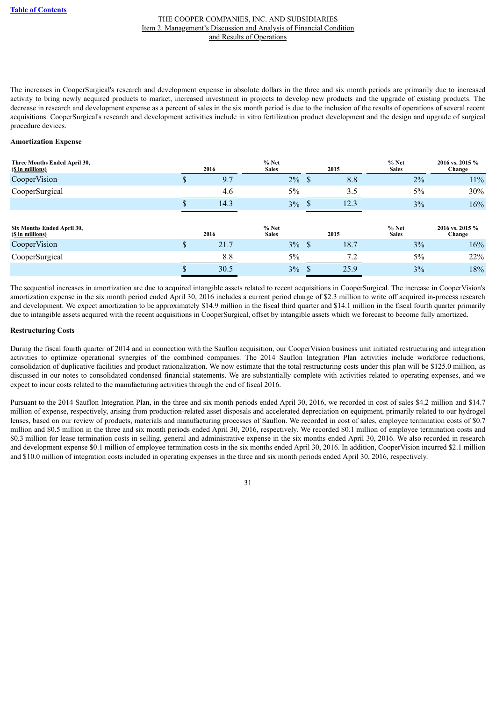The increases in CooperSurgical's research and development expense in absolute dollars in the three and six month periods are primarily due to increased activity to bring newly acquired products to market, increased investment in projects to develop new products and the upgrade of existing products. The decrease in research and development expense as a percent of sales in the six month period is due to the inclusion of the results of operations of several recent acquisitions. CooperSurgical's research and development activities include in vitro fertilization product development and the design and upgrade of surgical procedure devices.

#### **Amortization Expense**

| Three Months Ended April 30,<br>(\$ in millions) |          | 2016 | $%$ Net<br><b>Sales</b> | 2015 | $%$ Net<br><b>Sales</b> | 2016 vs. 2015 %<br>Change |
|--------------------------------------------------|----------|------|-------------------------|------|-------------------------|---------------------------|
| CooperVision                                     |          | 9.7  | $2\%$ \$                | 8.8  | 2%                      | 11%                       |
| CooperSurgical                                   |          | 4.6  | $5\%$                   | 3.5  | $5\%$                   | 30%                       |
|                                                  |          | 14.3 | 3%                      | 12.3 | 3%                      | 16%                       |
| Six Months Ended April 30,<br>(\$ in millions)   |          | 2016 | $%$ Net<br><b>Sales</b> | 2015 | % Net<br><b>Sales</b>   | 2016 vs. 2015 %<br>Change |
| CooperVision                                     | <b>J</b> | 21.7 | $3\%$ \$                | 18.7 | 3%                      | 16%                       |
| CooperSurgical                                   |          | 8.8  | 5%                      | 7.2  | $5\%$                   | 22%                       |
|                                                  |          | 30.5 | 3%                      | 25.9 | 3%                      | 18%                       |

The sequential increases in amortization are due to acquired intangible assets related to recent acquisitions in CooperSurgical. The increase in CooperVision's amortization expense in the six month period ended April 30, 2016 includes a current period charge of \$2.3 million to write off acquired in-process research and development. We expect amortization to be approximately \$14.9 million in the fiscal third quarter and \$14.1 million in the fiscal fourth quarter primarily due to intangible assets acquired with the recent acquisitions in CooperSurgical, offset by intangible assets which we forecast to become fully amortized.

#### **Restructuring Costs**

During the fiscal fourth quarter of 2014 and in connection with the Sauflon acquisition, our CooperVision business unit initiated restructuring and integration activities to optimize operational synergies of the combined companies. The 2014 Sauflon Integration Plan activities include workforce reductions, consolidation of duplicative facilities and product rationalization. We now estimate that the total restructuring costs under this plan will be \$125.0 million, as discussed in our notes to consolidated condensed financial statements. We are substantially complete with activities related to operating expenses, and we expect to incur costs related to the manufacturing activities through the end of fiscal 2016.

Pursuant to the 2014 Sauflon Integration Plan, in the three and six month periods ended April 30, 2016, we recorded in cost of sales \$4.2 million and \$14.7 million of expense, respectively, arising from production-related asset disposals and accelerated depreciation on equipment, primarily related to our hydrogel lenses, based on our review of products, materials and manufacturing processes of Sauflon. We recorded in cost of sales, employee termination costs of \$0.7 million and \$0.5 million in the three and six month periods ended April 30, 2016, respectively. We recorded \$0.1 million of employee termination costs and \$0.3 million for lease termination costs in selling, general and administrative expense in the six months ended April 30, 2016. We also recorded in research and development expense \$0.1 million of employee termination costs in the six months ended April 30, 2016. In addition, CooperVision incurred \$2.1 million and \$10.0 million of integration costs included in operating expenses in the three and six month periods ended April 30, 2016, respectively.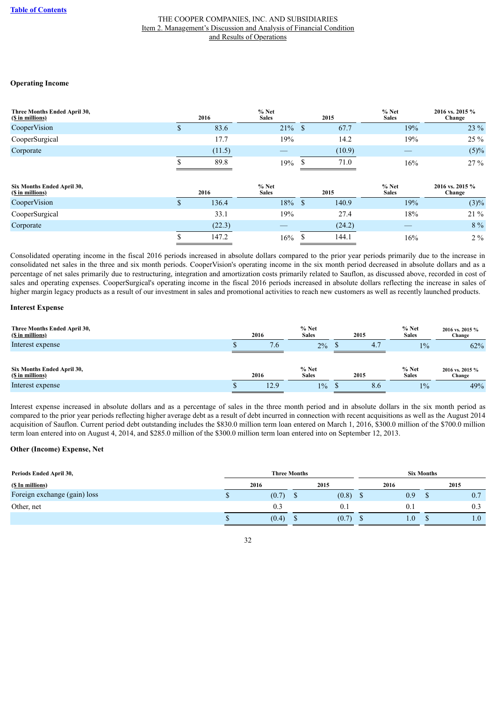#### **Operating Income**

| Three Months Ended April 30,<br>(\$ in millions) |             | 2016   | $%$ Net<br><b>Sales</b> | 2015   | $%$ Net<br><b>Sales</b> | 2016 vs. 2015 %<br>Change |
|--------------------------------------------------|-------------|--------|-------------------------|--------|-------------------------|---------------------------|
| CooperVision                                     | S           | 83.6   | $21\%$ \$               | 67.7   | 19%                     | 23 %                      |
| CooperSurgical                                   |             | 17.7   | 19%                     | 14.2   | 19%                     | $25 \%$                   |
| Corporate                                        |             | (11.5) |                         | (10.9) |                         | $(5)\%$                   |
|                                                  | ¢           | 89.8   | 19%                     | 71.0   | 16%                     | 27%                       |
| Six Months Ended April 30,<br>(\$ in millions)   |             | 2016   | $%$ Net<br><b>Sales</b> | 2015   | % Net<br><b>Sales</b>   | 2016 vs. 2015 %<br>Change |
| CooperVision                                     | $\mathbf S$ | 136.4  | $18\%$ \$               | 140.9  | 19%                     | $(3)\%$                   |
| CooperSurgical                                   |             | 33.1   | 19%                     | 27.4   | 18%                     | $21\%$                    |
| Corporate                                        |             | (22.3) |                         | (24.2) |                         | $8\%$                     |
|                                                  | \$          | 147.2  | 16%                     | 144.1  | 16%                     | $2\%$                     |

Consolidated operating income in the fiscal 2016 periods increased in absolute dollars compared to the prior year periods primarily due to the increase in consolidated net sales in the three and six month periods. CooperVision's operating income in the six month period decreased in absolute dollars and as a percentage of net sales primarily due to restructuring, integration and amortization costs primarily related to Sauflon, as discussed above, recorded in cost of sales and operating expenses. CooperSurgical's operating income in the fiscal 2016 periods increased in absolute dollars reflecting the increase in sales of higher margin legacy products as a result of our investment in sales and promotional activities to reach new customers as well as recently launched products.

#### **Interest Expense**

| Three Months Ended April 30,<br>(\$ in millions) | 2016 | $%$ Net<br><b>Sales</b> | 2015 | % Net<br><b>Sales</b> | $2016$ vs. $2015$ %<br>Change |
|--------------------------------------------------|------|-------------------------|------|-----------------------|-------------------------------|
| Interest expense                                 | 7.6  | 2%                      | 4.7  | $1\%$                 | 62%                           |
|                                                  |      |                         |      |                       |                               |
| Six Months Ended April 30,<br>(\$ in millions)   | 2016 | $%$ Net<br><b>Sales</b> | 2015 | % Net<br><b>Sales</b> | 2016 vs. 2015 $%$<br>Change   |
| Interest expense                                 | 12.9 | $1\%$                   | 8.6  | $1\%$                 | 49%                           |

Interest expense increased in absolute dollars and as a percentage of sales in the three month period and in absolute dollars in the six month period as compared to the prior year periods reflecting higher average debt as a result of debt incurred in connection with recent acquisitions as well as the August 2014 acquisition of Sauflon. Current period debt outstanding includes the \$830.0 million term loan entered on March 1, 2016, \$300.0 million of the \$700.0 million term loan entered into on August 4, 2014, and \$285.0 million of the \$300.0 million term loan entered into on September 12, 2013.

#### **Other (Income) Expense, Net**

| Periods Ended April 30,      | <b>Three Months</b> |       |      |       |  | <b>Six Months</b> |   |                  |  |  |
|------------------------------|---------------------|-------|------|-------|--|-------------------|---|------------------|--|--|
| (\$ In millions)             | 2016                |       | 2015 |       |  | 2016              |   | 2015             |  |  |
| Foreign exchange (gain) loss |                     | (0.7) |      | (0.8) |  | 0.9               |   | 0.7              |  |  |
| Other, net                   |                     | 0.3   |      | 0.    |  |                   |   | 0.3              |  |  |
|                              |                     | (0.4) |      | (0.7) |  | $.0\degree$       | w | 1.0 <sup>7</sup> |  |  |

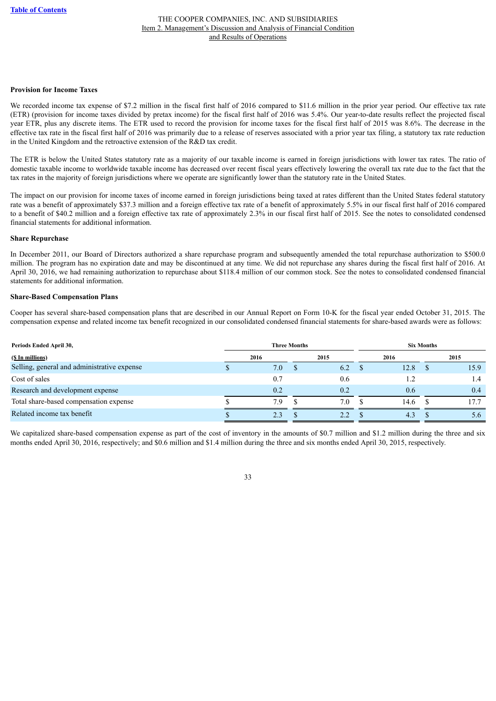#### **Provision for Income Taxes**

We recorded income tax expense of \$7.2 million in the fiscal first half of 2016 compared to \$11.6 million in the prior year period. Our effective tax rate (ETR) (provision for income taxes divided by pretax income) for the fiscal first half of 2016 was 5.4%. Our year-to-date results reflect the projected fiscal year ETR, plus any discrete items. The ETR used to record the provision for income taxes for the fiscal first half of 2015 was 8.6%. The decrease in the effective tax rate in the fiscal first half of 2016 was primarily due to a release of reserves associated with a prior year tax filing, a statutory tax rate reduction in the United Kingdom and the retroactive extension of the R&D tax credit.

The ETR is below the United States statutory rate as a majority of our taxable income is earned in foreign jurisdictions with lower tax rates. The ratio of domestic taxable income to worldwide taxable income has decreased over recent fiscal years effectively lowering the overall tax rate due to the fact that the tax rates in the majority of foreign jurisdictions where we operate are significantly lower than the statutory rate in the United States.

The impact on our provision for income taxes of income earned in foreign jurisdictions being taxed at rates different than the United States federal statutory rate was a benefit of approximately \$37.3 million and a foreign effective tax rate of a benefit of approximately 5.5% in our fiscal first half of 2016 compared to a benefit of \$40.2 million and a foreign effective tax rate of approximately 2.3% in our fiscal first half of 2015. See the notes to consolidated condensed financial statements for additional information.

#### **Share Repurchase**

In December 2011, our Board of Directors authorized a share repurchase program and subsequently amended the total repurchase authorization to \$500.0 million. The program has no expiration date and may be discontinued at any time. We did not repurchase any shares during the fiscal first half of 2016. At April 30, 2016, we had remaining authorization to repurchase about \$118.4 million of our common stock. See the notes to consolidated condensed financial statements for additional information.

#### **Share-Based Compensation Plans**

Cooper has several share-based compensation plans that are described in our Annual Report on Form 10-K for the fiscal year ended October 31, 2015. The compensation expense and related income tax benefit recognized in our consolidated condensed financial statements for share-based awards were as follows:

| Periods Ended April 30,                     | <b>Three Months</b> |     |  |      |  | <b>Six Months</b> |   |      |  |  |
|---------------------------------------------|---------------------|-----|--|------|--|-------------------|---|------|--|--|
| (\$ In millions)                            | 2016                |     |  | 2015 |  | 2016              |   | 2015 |  |  |
| Selling, general and administrative expense |                     | 7.0 |  | 6.2  |  | 12.8              | ъ | 15.9 |  |  |
| Cost of sales                               |                     | 0.7 |  | 0.6  |  |                   |   | 1.4  |  |  |
| Research and development expense            |                     | 0.2 |  | 0.2  |  | 0.6               |   | 0.4  |  |  |
| Total share-based compensation expense      |                     | 7.9 |  | 7.0  |  | 14.6              |   |      |  |  |
| Related income tax benefit                  |                     | 2.3 |  | 2.2  |  | 4.3               |   | 5.6  |  |  |

We capitalized share-based compensation expense as part of the cost of inventory in the amounts of \$0.7 million and \$1.2 million during the three and six months ended April 30, 2016, respectively; and \$0.6 million and \$1.4 million during the three and six months ended April 30, 2015, respectively.

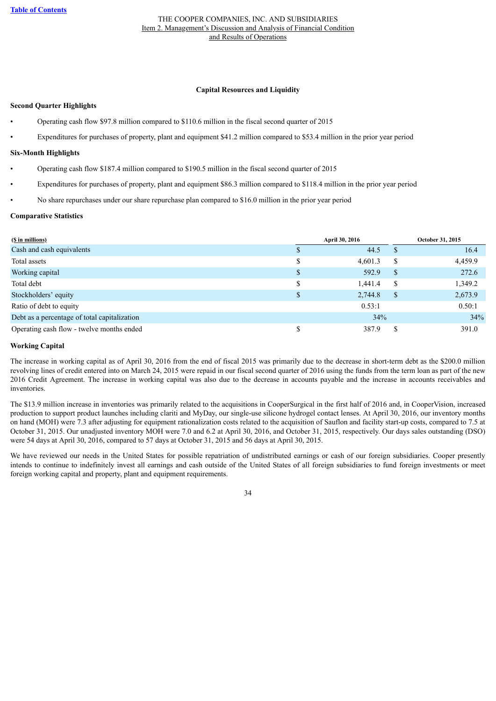#### **Capital Resources and Liquidity**

#### **Second Quarter Highlights**

- Operating cash flow \$97.8 million compared to \$110.6 million in the fiscal second quarter of 2015
- Expenditures for purchases of property, plant and equipment \$41.2 million compared to \$53.4 million in the prior year period

#### **Six-Month Highlights**

- Operating cash flow \$187.4 million compared to \$190.5 million in the fiscal second quarter of 2015
- Expenditures for purchases of property, plant and equipment \$86.3 million compared to \$118.4 million in the prior year period
- No share repurchases under our share repurchase plan compared to \$16.0 million in the prior year period

#### **Comparative Statistics**

| (\$ in millions)                             |               | April 30, 2016 | October 31, 2015 |         |  |
|----------------------------------------------|---------------|----------------|------------------|---------|--|
| Cash and cash equivalents                    |               | 44.5           |                  | 16.4    |  |
| Total assets                                 | D             | 4.601.3        | -S               | 4,459.9 |  |
| Working capital                              |               | 592.9          | <sup>\$</sup>    | 272.6   |  |
| Total debt                                   | <sup>\$</sup> | 1,441.4        | <sup>\$</sup>    | 1,349.2 |  |
| Stockholders' equity                         |               | 2,744.8        | -S               | 2,673.9 |  |
| Ratio of debt to equity                      |               | 0.53:1         |                  | 0.50:1  |  |
| Debt as a percentage of total capitalization |               | 34%            |                  | 34%     |  |
| Operating cash flow - twelve months ended    | ጦ             | 387.9          | \$.              | 391.0   |  |

#### **Working Capital**

The increase in working capital as of April 30, 2016 from the end of fiscal 2015 was primarily due to the decrease in short-term debt as the \$200.0 million revolving lines of credit entered into on March 24, 2015 were repaid in our fiscal second quarter of 2016 using the funds from the term loan as part of the new 2016 Credit Agreement. The increase in working capital was also due to the decrease in accounts payable and the increase in accounts receivables and inventories.

The \$13.9 million increase in inventories was primarily related to the acquisitions in CooperSurgical in the first half of 2016 and, in CooperVision, increased production to support product launches including clariti and MyDay, our single-use silicone hydrogel contact lenses. At April 30, 2016, our inventory months on hand (MOH) were 7.3 after adjusting for equipment rationalization costs related to the acquisition of Sauflon and facility start-up costs, compared to 7.5 at October 31, 2015. Our unadjusted inventory MOH were 7.0 and 6.2 at April 30, 2016, and October 31, 2015, respectively. Our days sales outstanding (DSO) were 54 days at April 30, 2016, compared to 57 days at October 31, 2015 and 56 days at April 30, 2015.

We have reviewed our needs in the United States for possible repatriation of undistributed earnings or cash of our foreign subsidiaries. Cooper presently intends to continue to indefinitely invest all earnings and cash outside of the United States of all foreign subsidiaries to fund foreign investments or meet foreign working capital and property, plant and equipment requirements.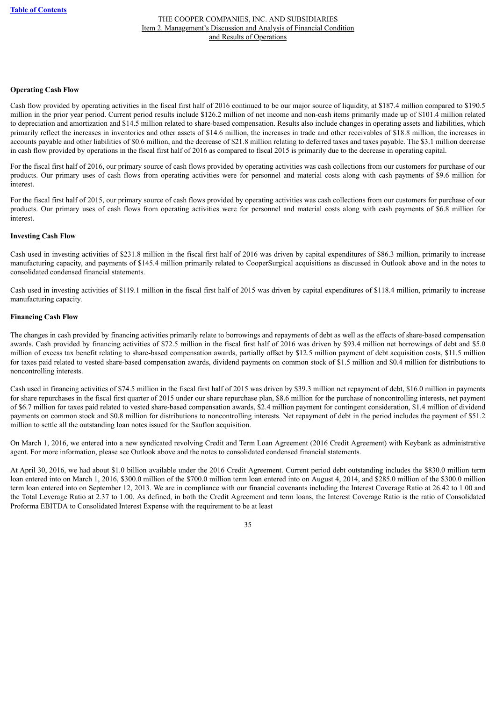#### **Operating Cash Flow**

Cash flow provided by operating activities in the fiscal first half of 2016 continued to be our major source of liquidity, at \$187.4 million compared to \$190.5 million in the prior year period. Current period results include \$126.2 million of net income and non-cash items primarily made up of \$101.4 million related to depreciation and amortization and \$14.5 million related to share-based compensation. Results also include changes in operating assets and liabilities, which primarily reflect the increases in inventories and other assets of \$14.6 million, the increases in trade and other receivables of \$18.8 million, the increases in accounts payable and other liabilities of \$0.6 million, and the decrease of \$21.8 million relating to deferred taxes and taxes payable. The \$3.1 million decrease in cash flow provided by operations in the fiscal first half of 2016 as compared to fiscal 2015 is primarily due to the decrease in operating capital.

For the fiscal first half of 2016, our primary source of cash flows provided by operating activities was cash collections from our customers for purchase of our products. Our primary uses of cash flows from operating activities were for personnel and material costs along with cash payments of \$9.6 million for interest.

For the fiscal first half of 2015, our primary source of cash flows provided by operating activities was cash collections from our customers for purchase of our products. Our primary uses of cash flows from operating activities were for personnel and material costs along with cash payments of \$6.8 million for interest.

#### **Investing Cash Flow**

Cash used in investing activities of \$231.8 million in the fiscal first half of 2016 was driven by capital expenditures of \$86.3 million, primarily to increase manufacturing capacity, and payments of \$145.4 million primarily related to CooperSurgical acquisitions as discussed in Outlook above and in the notes to consolidated condensed financial statements.

Cash used in investing activities of \$119.1 million in the fiscal first half of 2015 was driven by capital expenditures of \$118.4 million, primarily to increase manufacturing capacity.

#### **Financing Cash Flow**

The changes in cash provided by financing activities primarily relate to borrowings and repayments of debt as well as the effects of share-based compensation awards. Cash provided by financing activities of \$72.5 million in the fiscal first half of 2016 was driven by \$93.4 million net borrowings of debt and \$5.0 million of excess tax benefit relating to share-based compensation awards, partially offset by \$12.5 million payment of debt acquisition costs, \$11.5 million for taxes paid related to vested share-based compensation awards, dividend payments on common stock of \$1.5 million and \$0.4 million for distributions to noncontrolling interests.

Cash used in financing activities of \$74.5 million in the fiscal first half of 2015 was driven by \$39.3 million net repayment of debt, \$16.0 million in payments for share repurchases in the fiscal first quarter of 2015 under our share repurchase plan, \$8.6 million for the purchase of noncontrolling interests, net payment of \$6.7 million for taxes paid related to vested share-based compensation awards, \$2.4 million payment for contingent consideration, \$1.4 million of dividend payments on common stock and \$0.8 million for distributions to noncontrolling interests. Net repayment of debt in the period includes the payment of \$51.2 million to settle all the outstanding loan notes issued for the Sauflon acquisition.

On March 1, 2016, we entered into a new syndicated revolving Credit and Term Loan Agreement (2016 Credit Agreement) with Keybank as administrative agent. For more information, please see Outlook above and the notes to consolidated condensed financial statements.

At April 30, 2016, we had about \$1.0 billion available under the 2016 Credit Agreement. Current period debt outstanding includes the \$830.0 million term loan entered into on March 1, 2016, \$300.0 million of the \$700.0 million term loan entered into on August 4, 2014, and \$285.0 million of the \$300.0 million term loan entered into on September 12, 2013. We are in compliance with our financial covenants including the Interest Coverage Ratio at 26.42 to 1.00 and the Total Leverage Ratio at 2.37 to 1.00. As defined, in both the Credit Agreement and term loans, the Interest Coverage Ratio is the ratio of Consolidated Proforma EBITDA to Consolidated Interest Expense with the requirement to be at least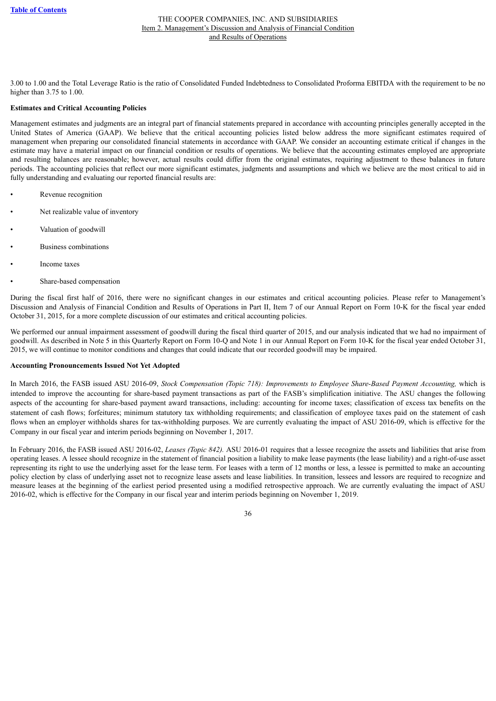3.00 to 1.00 and the Total Leverage Ratio is the ratio of Consolidated Funded Indebtedness to Consolidated Proforma EBITDA with the requirement to be no higher than 3.75 to 1.00.

#### **Estimates and Critical Accounting Policies**

Management estimates and judgments are an integral part of financial statements prepared in accordance with accounting principles generally accepted in the United States of America (GAAP). We believe that the critical accounting policies listed below address the more significant estimates required of management when preparing our consolidated financial statements in accordance with GAAP. We consider an accounting estimate critical if changes in the estimate may have a material impact on our financial condition or results of operations. We believe that the accounting estimates employed are appropriate and resulting balances are reasonable; however, actual results could differ from the original estimates, requiring adjustment to these balances in future periods. The accounting policies that reflect our more significant estimates, judgments and assumptions and which we believe are the most critical to aid in fully understanding and evaluating our reported financial results are:

- Revenue recognition
- Net realizable value of inventory
- Valuation of goodwill
- Business combinations
- Income taxes
- Share-based compensation

During the fiscal first half of 2016, there were no significant changes in our estimates and critical accounting policies. Please refer to Management's Discussion and Analysis of Financial Condition and Results of Operations in Part II, Item 7 of our Annual Report on Form 10-K for the fiscal year ended October 31, 2015, for a more complete discussion of our estimates and critical accounting policies.

We performed our annual impairment assessment of goodwill during the fiscal third quarter of 2015, and our analysis indicated that we had no impairment of goodwill. As described in Note 5 in this Quarterly Report on Form 10-Q and Note 1 in our Annual Report on Form 10-K for the fiscal year ended October 31, 2015, we will continue to monitor conditions and changes that could indicate that our recorded goodwill may be impaired.

#### **Accounting Pronouncements Issued Not Yet Adopted**

In March 2016, the FASB issued ASU 2016-09, *Stock Compensation (Topic 718): Improvements to Employee Share-Based Payment Accounting,* which is intended to improve the accounting for share-based payment transactions as part of the FASB's simplification initiative. The ASU changes the following aspects of the accounting for share-based payment award transactions, including: accounting for income taxes; classification of excess tax benefits on the statement of cash flows; forfeitures; minimum statutory tax withholding requirements; and classification of employee taxes paid on the statement of cash flows when an employer withholds shares for tax-withholding purposes. We are currently evaluating the impact of ASU 2016-09, which is effective for the Company in our fiscal year and interim periods beginning on November 1, 2017.

In February 2016, the FASB issued ASU 2016-02, *Leases (Topic 842).* ASU 2016-01 requires that a lessee recognize the assets and liabilities that arise from operating leases. A lessee should recognize in the statement of financial position a liability to make lease payments (the lease liability) and a right-of-use asset representing its right to use the underlying asset for the lease term. For leases with a term of 12 months or less, a lessee is permitted to make an accounting policy election by class of underlying asset not to recognize lease assets and lease liabilities. In transition, lessees and lessors are required to recognize and measure leases at the beginning of the earliest period presented using a modified retrospective approach. We are currently evaluating the impact of ASU 2016-02, which is effective for the Company in our fiscal year and interim periods beginning on November 1, 2019.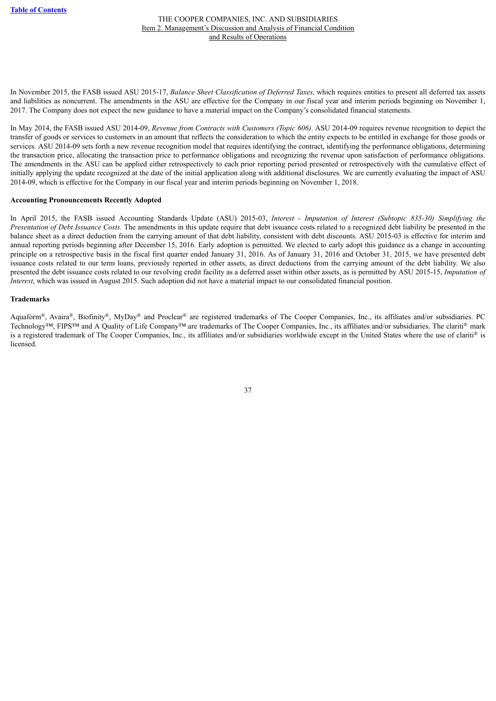In November 2015, the FASB issued ASU 2015-17, *Balance Sheet Classification of Deferred Taxes,* which requires entities to present all deferred tax assets and liabilities as noncurrent. The amendments in the ASU are effective for the Company in our fiscal year and interim periods beginning on November 1, 2017. The Company does not expect the new guidance to have a material impact on the Company's consolidated financial statements.

In May 2014, the FASB issued ASU 2014-09, *Revenue from Contracts with Customers (Topic 606)*. ASU 2014-09 requires revenue recognition to depict the transfer of goods or services to customers in an amount that reflects the consideration to which the entity expects to be entitled in exchange for those goods or services. ASU 2014-09 sets forth a new revenue recognition model that requires identifying the contract, identifying the performance obligations, determining the transaction price, allocating the transaction price to performance obligations and recognizing the revenue upon satisfaction of performance obligations. The amendments in the ASU can be applied either retrospectively to each prior reporting period presented or retrospectively with the cumulative effect of initially applying the update recognized at the date of the initial application along with additional disclosures. We are currently evaluating the impact of ASU 2014-09, which is effective for the Company in our fiscal year and interim periods beginning on November 1, 2018.

#### **Accounting Pronouncements Recently Adopted**

In April 2015, the FASB issued Accounting Standards Update (ASU) 2015-03, *Interest - Imputation of Interest (Subtopic 835-30) Simplifying the Presentation of Debt Issuance Costs.* The amendments in this update require that debt issuance costs related to a recognized debt liability be presented in the balance sheet as a direct deduction from the carrying amount of that debt liability, consistent with debt discounts. ASU 2015-03 is effective for interim and annual reporting periods beginning after December 15, 2016. Early adoption is permitted. We elected to early adopt this guidance as a change in accounting principle on a retrospective basis in the fiscal first quarter ended January 31, 2016. As of January 31, 2016 and October 31, 2015, we have presented debt issuance costs related to our term loans, previously reported in other assets, as direct deductions from the carrying amount of the debt liability. We also presented the debt issuance costs related to our revolving credit facility as a deferred asset within other assets, as is permitted by ASU 2015-15, *Imputation of Interest*, which was issued in August 2015. Such adoption did not have a material impact to our consolidated financial position.

#### **Trademarks**

Aquaform®, Avaira®, Biofinity®, MyDay® and Proclear® are registered trademarks of The Cooper Companies, Inc., its affiliates and/or subsidiaries. PC Technology™, FIPS™ and A Quality of Life Company™ are trademarks of The Cooper Companies, Inc., its affiliates and/or subsidiaries. The clariti® mark is a registered trademark of The Cooper Companies, Inc., its affiliates and/or subsidiaries worldwide except in the United States where the use of clariti® is licensed.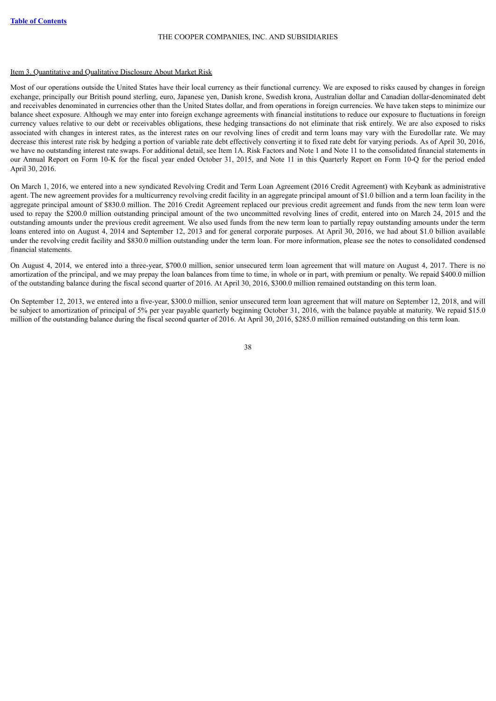#### <span id="page-37-0"></span>Item 3. Quantitative and Qualitative Disclosure About Market Risk

Most of our operations outside the United States have their local currency as their functional currency. We are exposed to risks caused by changes in foreign exchange, principally our British pound sterling, euro, Japanese yen, Danish krone, Swedish krona, Australian dollar and Canadian dollar-denominated debt and receivables denominated in currencies other than the United States dollar, and from operations in foreign currencies. We have taken steps to minimize our balance sheet exposure. Although we may enter into foreign exchange agreements with financial institutions to reduce our exposure to fluctuations in foreign currency values relative to our debt or receivables obligations, these hedging transactions do not eliminate that risk entirely. We are also exposed to risks associated with changes in interest rates, as the interest rates on our revolving lines of credit and term loans may vary with the Eurodollar rate. We may decrease this interest rate risk by hedging a portion of variable rate debt effectively converting it to fixed rate debt for varying periods. As of April 30, 2016, we have no outstanding interest rate swaps. For additional detail, see Item 1A. Risk Factors and Note 1 and Note 11 to the consolidated financial statements in our Annual Report on Form 10-K for the fiscal year ended October 31, 2015, and Note 11 in this Quarterly Report on Form 10-Q for the period ended April 30, 2016.

On March 1, 2016, we entered into a new syndicated Revolving Credit and Term Loan Agreement (2016 Credit Agreement) with Keybank as administrative agent. The new agreement provides for a multicurrency revolving credit facility in an aggregate principal amount of \$1.0 billion and a term loan facility in the aggregate principal amount of \$830.0 million. The 2016 Credit Agreement replaced our previous credit agreement and funds from the new term loan were used to repay the \$200.0 million outstanding principal amount of the two uncommitted revolving lines of credit, entered into on March 24, 2015 and the outstanding amounts under the previous credit agreement. We also used funds from the new term loan to partially repay outstanding amounts under the term loans entered into on August 4, 2014 and September 12, 2013 and for general corporate purposes. At April 30, 2016, we had about \$1.0 billion available under the revolving credit facility and \$830.0 million outstanding under the term loan. For more information, please see the notes to consolidated condensed financial statements.

On August 4, 2014, we entered into a three-year, \$700.0 million, senior unsecured term loan agreement that will mature on August 4, 2017. There is no amortization of the principal, and we may prepay the loan balances from time to time, in whole or in part, with premium or penalty. We repaid \$400.0 million of the outstanding balance during the fiscal second quarter of 2016. At April 30, 2016, \$300.0 million remained outstanding on this term loan.

On September 12, 2013, we entered into a five-year, \$300.0 million, senior unsecured term loan agreement that will mature on September 12, 2018, and will be subject to amortization of principal of 5% per year payable quarterly beginning October 31, 2016, with the balance payable at maturity. We repaid \$15.0 million of the outstanding balance during the fiscal second quarter of 2016. At April 30, 2016, \$285.0 million remained outstanding on this term loan.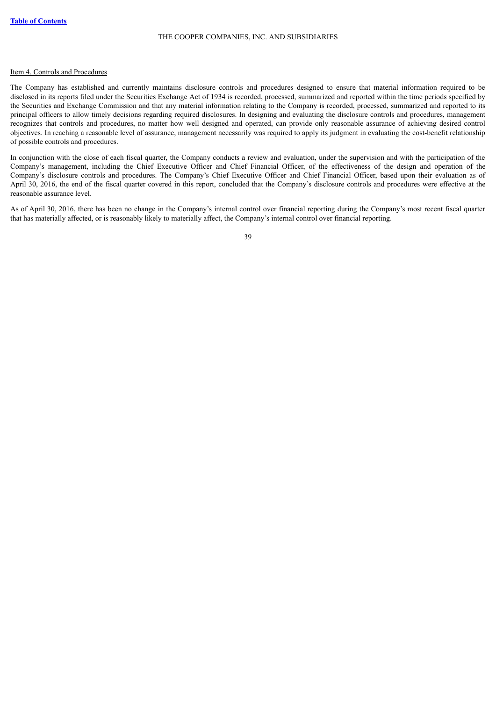#### <span id="page-38-0"></span>Item 4. Controls and Procedures

The Company has established and currently maintains disclosure controls and procedures designed to ensure that material information required to be disclosed in its reports filed under the Securities Exchange Act of 1934 is recorded, processed, summarized and reported within the time periods specified by the Securities and Exchange Commission and that any material information relating to the Company is recorded, processed, summarized and reported to its principal officers to allow timely decisions regarding required disclosures. In designing and evaluating the disclosure controls and procedures, management recognizes that controls and procedures, no matter how well designed and operated, can provide only reasonable assurance of achieving desired control objectives. In reaching a reasonable level of assurance, management necessarily was required to apply its judgment in evaluating the cost-benefit relationship of possible controls and procedures.

In conjunction with the close of each fiscal quarter, the Company conducts a review and evaluation, under the supervision and with the participation of the Company's management, including the Chief Executive Officer and Chief Financial Officer, of the effectiveness of the design and operation of the Company's disclosure controls and procedures. The Company's Chief Executive Officer and Chief Financial Officer, based upon their evaluation as of April 30, 2016, the end of the fiscal quarter covered in this report, concluded that the Company's disclosure controls and procedures were effective at the reasonable assurance level.

As of April 30, 2016, there has been no change in the Company's internal control over financial reporting during the Company's most recent fiscal quarter that has materially affected, or is reasonably likely to materially affect, the Company's internal control over financial reporting.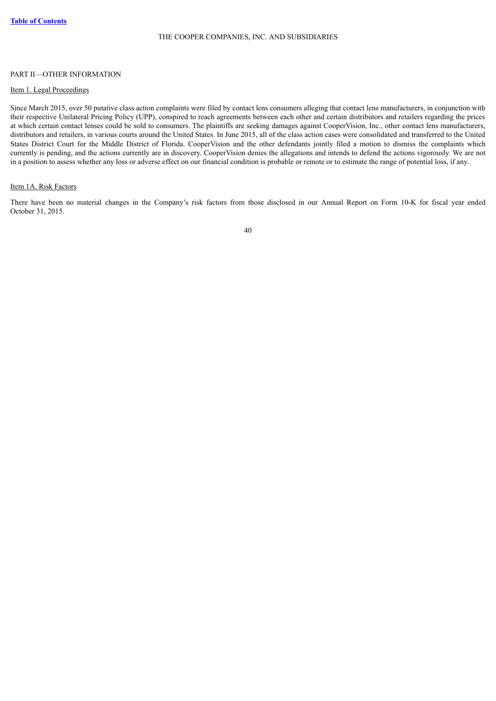#### <span id="page-39-0"></span>PART II—OTHER INFORMATION

#### <span id="page-39-1"></span>Item 1. Legal Proceedings

Since March 2015, over 50 putative class action complaints were filed by contact lens consumers alleging that contact lens manufacturers, in conjunction with their respective Unilateral Pricing Policy (UPP), conspired to reach agreements between each other and certain distributors and retailers regarding the prices at which certain contact lenses could be sold to consumers. The plaintiffs are seeking damages against CooperVision, Inc., other contact lens manufacturers, distributors and retailers, in various courts around the United States. In June 2015, all of the class action cases were consolidated and transferred to the United States District Court for the Middle District of Florida. CooperVision and the other defendants jointly filed a motion to dismiss the complaints which currently is pending, and the actions currently are in discovery. CooperVision denies the allegations and intends to defend the actions vigorously. We are not in a position to assess whether any loss or adverse effect on our financial condition is probable or remote or to estimate the range of potential loss, if any.

#### <span id="page-39-2"></span>Item 1A. Risk Factors

There have been no material changes in the Company's risk factors from those disclosed in our Annual Report on Form 10-K for fiscal year ended October 31, 2015.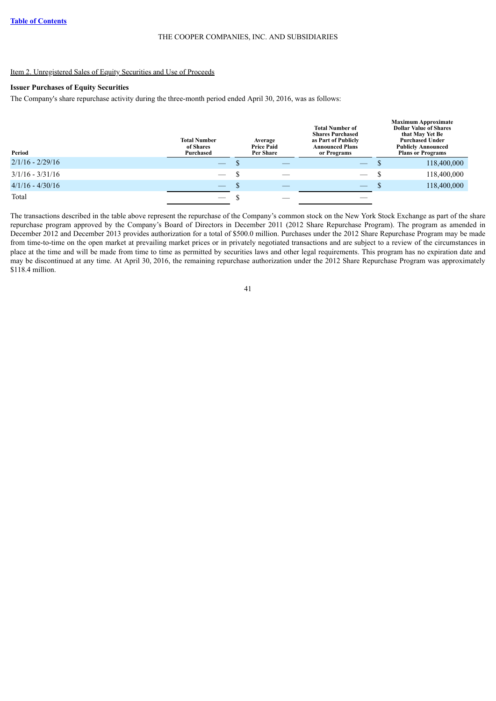### <span id="page-40-0"></span>Item 2. Unregistered Sales of Equity Securities and Use of Proceeds

## **Issuer Purchases of Equity Securities**

The Company's share repurchase activity during the three-month period ended April 30, 2016, was as follows:

| Period             | <b>Total Number</b><br>of Shares<br>Purchased | Average<br><b>Price Paid</b><br>Per Share | <b>Total Number of</b><br><b>Shares Purchased</b><br>as Part of Publicly<br><b>Announced Plans</b><br>or Programs |  | <b>Maximum Approximate</b><br><b>Dollar Value of Shares</b><br>that May Yet Be<br><b>Purchased Under</b><br><b>Publicly Announced</b><br><b>Plans or Programs</b> |  |  |
|--------------------|-----------------------------------------------|-------------------------------------------|-------------------------------------------------------------------------------------------------------------------|--|-------------------------------------------------------------------------------------------------------------------------------------------------------------------|--|--|
| $2/1/16 - 2/29/16$ |                                               |                                           |                                                                                                                   |  | 118,400,000                                                                                                                                                       |  |  |
| $3/1/16 - 3/31/16$ |                                               |                                           |                                                                                                                   |  | 118,400,000                                                                                                                                                       |  |  |
| $4/1/16 - 4/30/16$ | $\overline{\phantom{0}}$                      |                                           |                                                                                                                   |  | 118,400,000                                                                                                                                                       |  |  |
| Total              |                                               |                                           |                                                                                                                   |  |                                                                                                                                                                   |  |  |

The transactions described in the table above represent the repurchase of the Company's common stock on the New York Stock Exchange as part of the share repurchase program approved by the Company's Board of Directors in December 2011 (2012 Share Repurchase Program). The program as amended in December 2012 and December 2013 provides authorization for a total of \$500.0 million. Purchases under the 2012 Share Repurchase Program may be made from time-to-time on the open market at prevailing market prices or in privately negotiated transactions and are subject to a review of the circumstances in place at the time and will be made from time to time as permitted by securities laws and other legal requirements. This program has no expiration date and may be discontinued at any time. At April 30, 2016, the remaining repurchase authorization under the 2012 Share Repurchase Program was approximately \$118.4 million.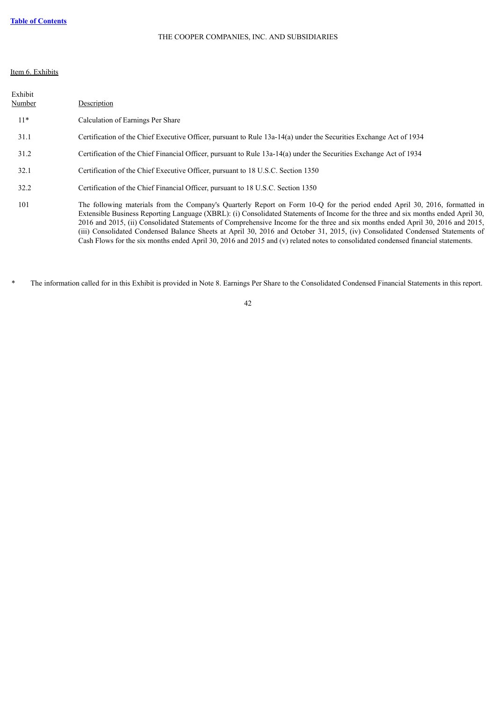## <span id="page-41-0"></span>Item 6. Exhibits

| Exhibit<br>Number | Description                                                                                                                                                                                                                                                                                                                                                                                                                                                                                                                         |
|-------------------|-------------------------------------------------------------------------------------------------------------------------------------------------------------------------------------------------------------------------------------------------------------------------------------------------------------------------------------------------------------------------------------------------------------------------------------------------------------------------------------------------------------------------------------|
| $11*$             | Calculation of Earnings Per Share                                                                                                                                                                                                                                                                                                                                                                                                                                                                                                   |
| 31.1              | Certification of the Chief Executive Officer, pursuant to Rule 13a-14(a) under the Securities Exchange Act of 1934                                                                                                                                                                                                                                                                                                                                                                                                                  |
| 31.2              | Certification of the Chief Financial Officer, pursuant to Rule 13a-14(a) under the Securities Exchange Act of 1934                                                                                                                                                                                                                                                                                                                                                                                                                  |
| 32.1              | Certification of the Chief Executive Officer, pursuant to 18 U.S.C. Section 1350                                                                                                                                                                                                                                                                                                                                                                                                                                                    |
| 32.2              | Certification of the Chief Financial Officer, pursuant to 18 U.S.C. Section 1350                                                                                                                                                                                                                                                                                                                                                                                                                                                    |
| 101               | The following materials from the Company's Quarterly Report on Form 10-Q for the period ended April 30, 2016, formatted in<br>Extensible Business Reporting Language (XBRL): (i) Consolidated Statements of Income for the three and six months ended April 30,<br>2016 and 2015, (ii) Consolidated Statements of Comprehensive Income for the three and six months ended April 30, 2016 and 2015,<br>(iii) Consolidated Condensed Balance Sheets at April 30, 2016 and October 31, 2015, (iv) Consolidated Condensed Statements of |

\* The information called for in this Exhibit is provided in Note 8. Earnings Per Share to the Consolidated Condensed Financial Statements in this report.

Cash Flows for the six months ended April 30, 2016 and 2015 and (v) related notes to consolidated condensed financial statements.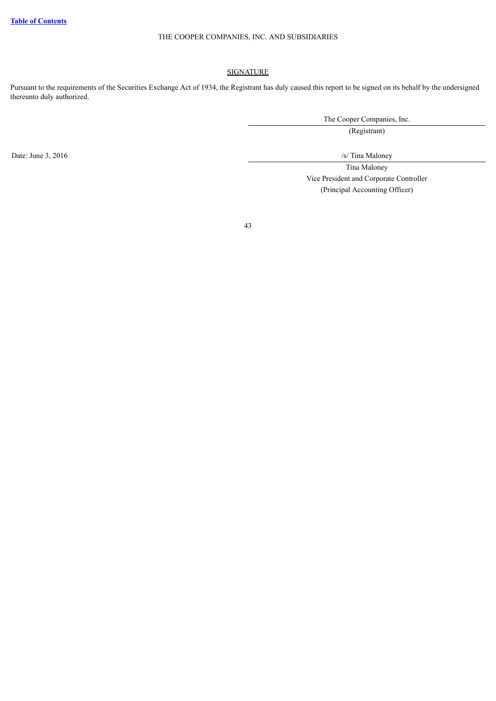### **SIGNATURE**

<span id="page-42-0"></span>Pursuant to the requirements of the Securities Exchange Act of 1934, the Registrant has duly caused this report to be signed on its behalf by the undersigned thereunto duly authorized.

The Cooper Companies, Inc.

(Registrant)

Tina Maloney Vice President and Corporate Controller (Principal Accounting Officer)

43

Date: June 3, 2016 /s/ Tina Maloney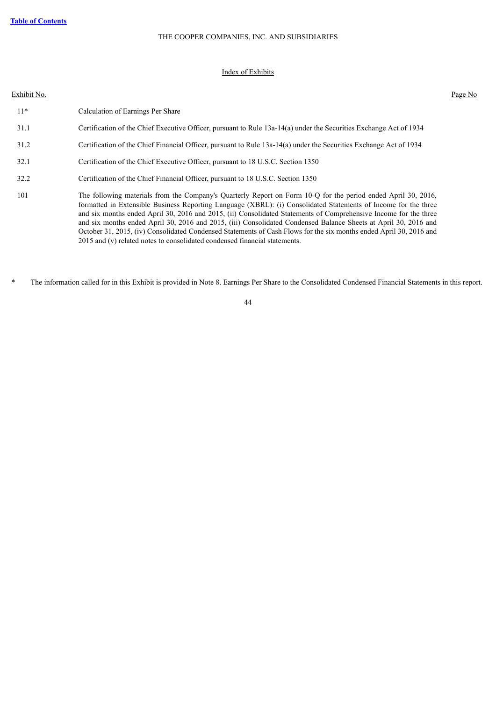#### Index of Exhibits

#### <span id="page-43-0"></span>**Exhibit No.** Page No. 2004. The set of the set of the set of the set of the set of the set of the set of the set of the set of the set of the set of the set of the set of the set of the set of the set of the set of the se

- 11\* Calculation of Earnings Per Share
- 31.1 Certification of the Chief Executive Officer, pursuant to Rule 13a-14(a) under the Securities Exchange Act of 1934
- 31.2 Certification of the Chief Financial Officer, pursuant to Rule 13a-14(a) under the Securities Exchange Act of 1934
- 32.1 Certification of the Chief Executive Officer, pursuant to 18 U.S.C. Section 1350
- 32.2 Certification of the Chief Financial Officer, pursuant to 18 U.S.C. Section 1350
- 101 The following materials from the Company's Quarterly Report on Form 10-Q for the period ended April 30, 2016, formatted in Extensible Business Reporting Language (XBRL): (i) Consolidated Statements of Income for the three and six months ended April 30, 2016 and 2015, (ii) Consolidated Statements of Comprehensive Income for the three and six months ended April 30, 2016 and 2015, (iii) Consolidated Condensed Balance Sheets at April 30, 2016 and October 31, 2015, (iv) Consolidated Condensed Statements of Cash Flows for the six months ended April 30, 2016 and 2015 and (v) related notes to consolidated condensed financial statements.
- \* The information called for in this Exhibit is provided in Note 8. Earnings Per Share to the Consolidated Condensed Financial Statements in this report.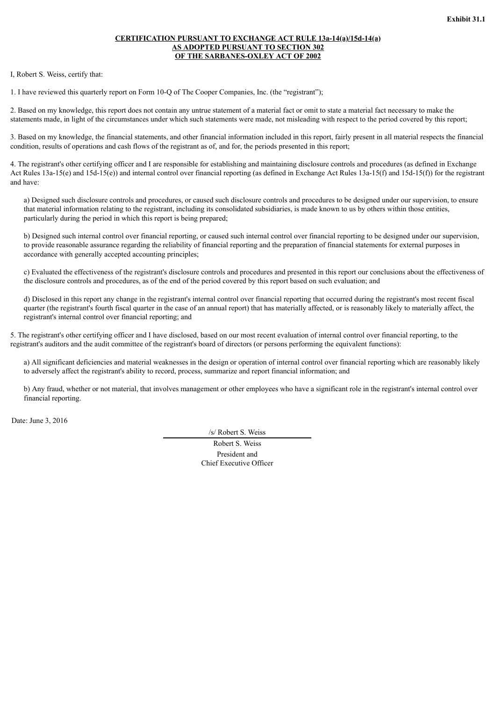#### **CERTIFICATION PURSUANT TO EXCHANGE ACT RULE 13a-14(a)/15d-14(a) AS ADOPTED PURSUANT TO SECTION 302 OF THE SARBANES-OXLEY ACT OF 2002**

I, Robert S. Weiss, certify that:

1. I have reviewed this quarterly report on Form 10-Q of The Cooper Companies, Inc. (the "registrant");

2. Based on my knowledge, this report does not contain any untrue statement of a material fact or omit to state a material fact necessary to make the statements made, in light of the circumstances under which such statements were made, not misleading with respect to the period covered by this report;

3. Based on my knowledge, the financial statements, and other financial information included in this report, fairly present in all material respects the financial condition, results of operations and cash flows of the registrant as of, and for, the periods presented in this report;

4. The registrant's other certifying officer and I are responsible for establishing and maintaining disclosure controls and procedures (as defined in Exchange Act Rules 13a-15(e) and 15d-15(e)) and internal control over financial reporting (as defined in Exchange Act Rules 13a-15(f) and 15d-15(f)) for the registrant and have:

a) Designed such disclosure controls and procedures, or caused such disclosure controls and procedures to be designed under our supervision, to ensure that material information relating to the registrant, including its consolidated subsidiaries, is made known to us by others within those entities, particularly during the period in which this report is being prepared;

b) Designed such internal control over financial reporting, or caused such internal control over financial reporting to be designed under our supervision, to provide reasonable assurance regarding the reliability of financial reporting and the preparation of financial statements for external purposes in accordance with generally accepted accounting principles;

c) Evaluated the effectiveness of the registrant's disclosure controls and procedures and presented in this report our conclusions about the effectiveness of the disclosure controls and procedures, as of the end of the period covered by this report based on such evaluation; and

d) Disclosed in this report any change in the registrant's internal control over financial reporting that occurred during the registrant's most recent fiscal quarter (the registrant's fourth fiscal quarter in the case of an annual report) that has materially affected, or is reasonably likely to materially affect, the registrant's internal control over financial reporting; and

5. The registrant's other certifying officer and I have disclosed, based on our most recent evaluation of internal control over financial reporting, to the registrant's auditors and the audit committee of the registrant's board of directors (or persons performing the equivalent functions):

a) All significant deficiencies and material weaknesses in the design or operation of internal control over financial reporting which are reasonably likely to adversely affect the registrant's ability to record, process, summarize and report financial information; and

b) Any fraud, whether or not material, that involves management or other employees who have a significant role in the registrant's internal control over financial reporting.

Date: June 3, 2016

/s/ Robert S. Weiss

Robert S. Weiss President and Chief Executive Officer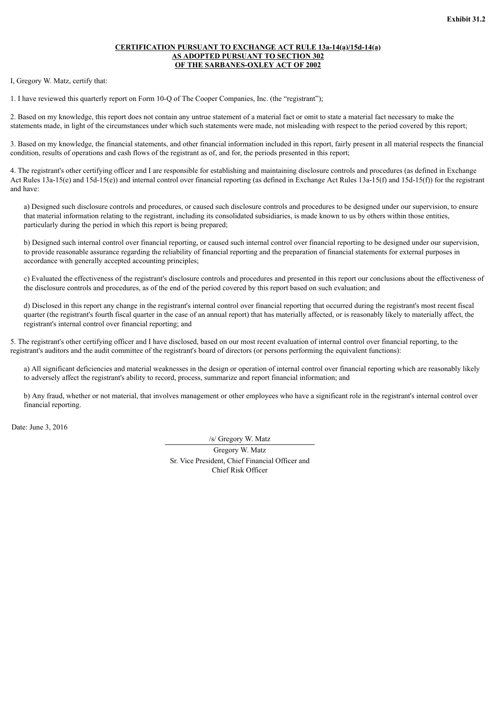#### **CERTIFICATION PURSUANT TO EXCHANGE ACT RULE 13a-14(a)/15d-14(a) AS ADOPTED PURSUANT TO SECTION 302 OF THE SARBANES-OXLEY ACT OF 2002**

I, Gregory W. Matz, certify that:

1. I have reviewed this quarterly report on Form 10-Q of The Cooper Companies, Inc. (the "registrant");

2. Based on my knowledge, this report does not contain any untrue statement of a material fact or omit to state a material fact necessary to make the statements made, in light of the circumstances under which such statements were made, not misleading with respect to the period covered by this report;

3. Based on my knowledge, the financial statements, and other financial information included in this report, fairly present in all material respects the financial condition, results of operations and cash flows of the registrant as of, and for, the periods presented in this report;

4. The registrant's other certifying officer and I are responsible for establishing and maintaining disclosure controls and procedures (as defined in Exchange Act Rules  $13a-15(e)$  and  $15d-15(e)$ ) and internal control over financial reporting (as defined in Exchange Act Rules  $13a-15(f)$  and  $15d-15(f)$ ) for the registrant and have:

a) Designed such disclosure controls and procedures, or caused such disclosure controls and procedures to be designed under our supervision, to ensure that material information relating to the registrant, including its consolidated subsidiaries, is made known to us by others within those entities, particularly during the period in which this report is being prepared;

b) Designed such internal control over financial reporting, or caused such internal control over financial reporting to be designed under our supervision, to provide reasonable assurance regarding the reliability of financial reporting and the preparation of financial statements for external purposes in accordance with generally accepted accounting principles;

c) Evaluated the effectiveness of the registrant's disclosure controls and procedures and presented in this report our conclusions about the effectiveness of the disclosure controls and procedures, as of the end of the period covered by this report based on such evaluation; and

d) Disclosed in this report any change in the registrant's internal control over financial reporting that occurred during the registrant's most recent fiscal quarter (the registrant's fourth fiscal quarter in the case of an annual report) that has materially affected, or is reasonably likely to materially affect, the registrant's internal control over financial reporting; and

5. The registrant's other certifying officer and I have disclosed, based on our most recent evaluation of internal control over financial reporting, to the registrant's auditors and the audit committee of the registrant's board of directors (or persons performing the equivalent functions):

a) All significant deficiencies and material weaknesses in the design or operation of internal control over financial reporting which are reasonably likely to adversely affect the registrant's ability to record, process, summarize and report financial information; and

b) Any fraud, whether or not material, that involves management or other employees who have a significant role in the registrant's internal control over financial reporting.

Date: June 3, 2016

/s/ Gregory W. Matz

Gregory W. Matz Sr. Vice President, Chief Financial Officer and Chief Risk Officer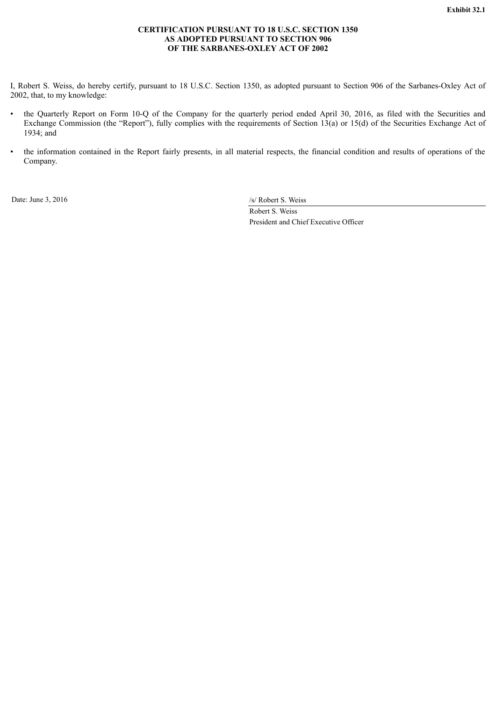### **CERTIFICATION PURSUANT TO 18 U.S.C. SECTION 1350 AS ADOPTED PURSUANT TO SECTION 906 OF THE SARBANES-OXLEY ACT OF 2002**

I, Robert S. Weiss, do hereby certify, pursuant to 18 U.S.C. Section 1350, as adopted pursuant to Section 906 of the Sarbanes-Oxley Act of 2002, that, to my knowledge:

- the Quarterly Report on Form 10-Q of the Company for the quarterly period ended April 30, 2016, as filed with the Securities and Exchange Commission (the "Report"), fully complies with the requirements of Section  $13(a)$  or  $15(d)$  of the Securities Exchange Act of 1934; and
- the information contained in the Report fairly presents, in all material respects, the financial condition and results of operations of the Company.

Date: June 3, 2016 /s/ Robert S. Weiss

Robert S. Weiss President and Chief Executive Officer